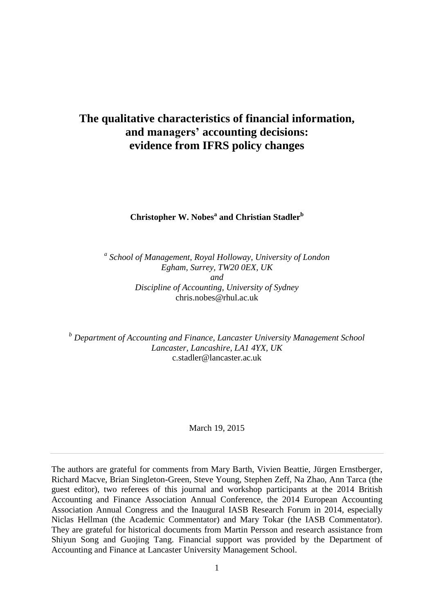# **The qualitative characteristics of financial information, and managers' accounting decisions: evidence from IFRS policy changes**

**Christopher W. Nobes<sup>a</sup> and Christian Stadler<sup>b</sup>**

*a School of Management, Royal Holloway, University of London Egham, Surrey, TW20 0EX, UK and Discipline of Accounting, University of Sydney* chris.nobes@rhul.ac.uk

*<sup>b</sup> Department of Accounting and Finance, Lancaster University Management School Lancaster, Lancashire, LA1 4YX, UK* c.stadler@lancaster.ac.uk

March 19, 2015

The authors are grateful for comments from Mary Barth, Vivien Beattie, Jürgen Ernstberger, Richard Macve, Brian Singleton-Green, Steve Young, Stephen Zeff, Na Zhao, Ann Tarca (the guest editor), two referees of this journal and workshop participants at the 2014 British Accounting and Finance Association Annual Conference, the 2014 European Accounting Association Annual Congress and the Inaugural IASB Research Forum in 2014, especially Niclas Hellman (the Academic Commentator) and Mary Tokar (the IASB Commentator). They are grateful for historical documents from Martin Persson and research assistance from Shiyun Song and Guojing Tang. Financial support was provided by the Department of Accounting and Finance at Lancaster University Management School.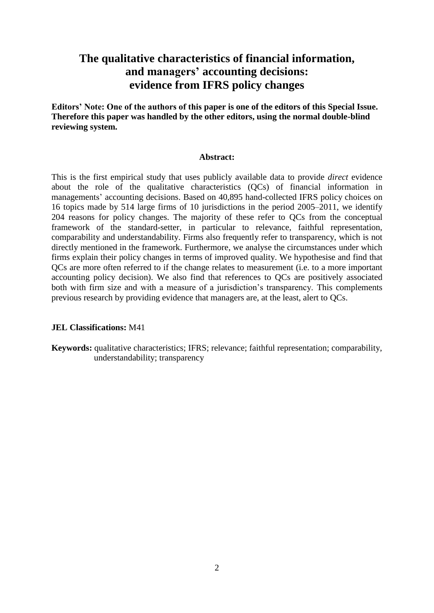# **The qualitative characteristics of financial information, and managers' accounting decisions: evidence from IFRS policy changes**

**Editors' Note: One of the authors of this paper is one of the editors of this Special Issue. Therefore this paper was handled by the other editors, using the normal double-blind reviewing system.**

#### **Abstract:**

This is the first empirical study that uses publicly available data to provide *direct* evidence about the role of the qualitative characteristics (QCs) of financial information in managements' accounting decisions. Based on 40,895 hand-collected IFRS policy choices on 16 topics made by 514 large firms of 10 jurisdictions in the period 2005–2011, we identify 204 reasons for policy changes. The majority of these refer to QCs from the conceptual framework of the standard-setter, in particular to relevance, faithful representation, comparability and understandability. Firms also frequently refer to transparency, which is not directly mentioned in the framework. Furthermore, we analyse the circumstances under which firms explain their policy changes in terms of improved quality. We hypothesise and find that QCs are more often referred to if the change relates to measurement (i.e. to a more important accounting policy decision). We also find that references to QCs are positively associated both with firm size and with a measure of a jurisdiction's transparency. This complements previous research by providing evidence that managers are, at the least, alert to QCs.

#### **JEL Classifications:** M41

**Keywords:** qualitative characteristics; IFRS; relevance; faithful representation; comparability, understandability; transparency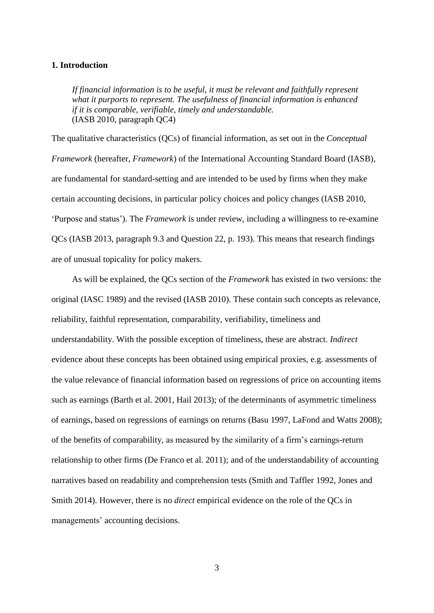## **1. Introduction**

*If financial information is to be useful, it must be relevant and faithfully represent what it purports to represent. The usefulness of financial information is enhanced if it is comparable, verifiable, timely and understandable.* (IASB 2010, paragraph QC4)

The qualitative characteristics (QCs) of financial information, as set out in the *Conceptual Framework* (hereafter, *Framework*) of the International Accounting Standard Board (IASB), are fundamental for standard-setting and are intended to be used by firms when they make certain accounting decisions, in particular policy choices and policy changes (IASB 2010, 'Purpose and status'). The *Framework* is under review, including a willingness to re-examine QCs (IASB 2013, paragraph 9.3 and Question 22, p. 193). This means that research findings are of unusual topicality for policy makers.

As will be explained, the QCs section of the *Framework* has existed in two versions: the original (IASC 1989) and the revised (IASB 2010). These contain such concepts as relevance, reliability, faithful representation, comparability, verifiability, timeliness and understandability. With the possible exception of timeliness, these are abstract. *Indirect*  evidence about these concepts has been obtained using empirical proxies, e.g. assessments of the value relevance of financial information based on regressions of price on accounting items such as earnings (Barth et al. 2001, Hail 2013); of the determinants of asymmetric timeliness of earnings, based on regressions of earnings on returns (Basu 1997, LaFond and Watts 2008); of the benefits of comparability, as measured by the similarity of a firm's earnings-return relationship to other firms (De Franco et al. 2011); and of the understandability of accounting narratives based on readability and comprehension tests (Smith and Taffler 1992, Jones and Smith 2014). However, there is no *direct* empirical evidence on the role of the QCs in managements' accounting decisions.

3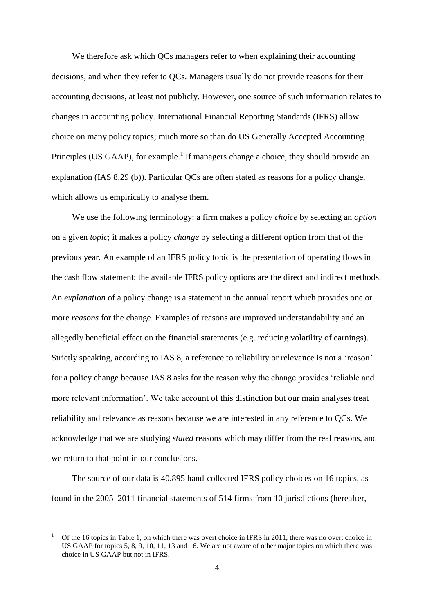We therefore ask which QCs managers refer to when explaining their accounting decisions, and when they refer to QCs. Managers usually do not provide reasons for their accounting decisions, at least not publicly. However, one source of such information relates to changes in accounting policy. International Financial Reporting Standards (IFRS) allow choice on many policy topics; much more so than do US Generally Accepted Accounting Principles (US GAAP), for example.<sup>1</sup> If managers change a choice, they should provide an explanation (IAS 8.29 (b)). Particular QCs are often stated as reasons for a policy change, which allows us empirically to analyse them.

We use the following terminology: a firm makes a policy *choice* by selecting an *option* on a given *topic*; it makes a policy *change* by selecting a different option from that of the previous year. An example of an IFRS policy topic is the presentation of operating flows in the cash flow statement; the available IFRS policy options are the direct and indirect methods. An *explanation* of a policy change is a statement in the annual report which provides one or more *reasons* for the change. Examples of reasons are improved understandability and an allegedly beneficial effect on the financial statements (e.g. reducing volatility of earnings). Strictly speaking, according to IAS 8, a reference to reliability or relevance is not a 'reason' for a policy change because IAS 8 asks for the reason why the change provides 'reliable and more relevant information'. We take account of this distinction but our main analyses treat reliability and relevance as reasons because we are interested in any reference to QCs. We acknowledge that we are studying *stated* reasons which may differ from the real reasons, and we return to that point in our conclusions.

The source of our data is 40,895 hand-collected IFRS policy choices on 16 topics, as found in the 2005–2011 financial statements of 514 firms from 10 jurisdictions (hereafter,

<sup>1</sup> Of the 16 topics in Table 1, on which there was overt choice in IFRS in 2011, there was no overt choice in US GAAP for topics 5, 8, 9, 10, 11, 13 and 16. We are not aware of other major topics on which there was choice in US GAAP but not in IFRS.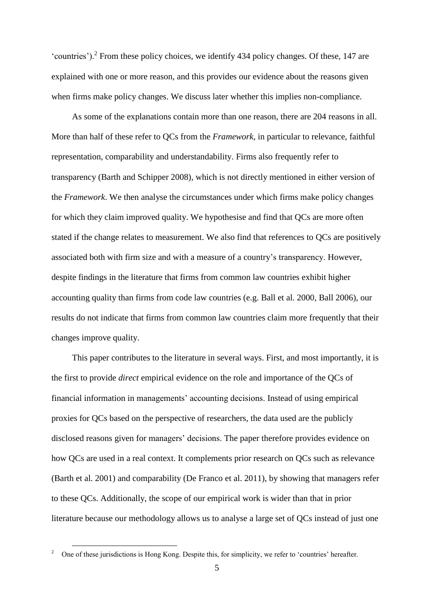'countries').<sup>2</sup> From these policy choices, we identify 434 policy changes. Of these, 147 are explained with one or more reason, and this provides our evidence about the reasons given when firms make policy changes. We discuss later whether this implies non-compliance.

As some of the explanations contain more than one reason, there are 204 reasons in all. More than half of these refer to QCs from the *Framework*, in particular to relevance, faithful representation, comparability and understandability. Firms also frequently refer to transparency (Barth and Schipper 2008), which is not directly mentioned in either version of the *Framework*. We then analyse the circumstances under which firms make policy changes for which they claim improved quality. We hypothesise and find that QCs are more often stated if the change relates to measurement. We also find that references to QCs are positively associated both with firm size and with a measure of a country's transparency. However, despite findings in the literature that firms from common law countries exhibit higher accounting quality than firms from code law countries (e.g. Ball et al. 2000, Ball 2006), our results do not indicate that firms from common law countries claim more frequently that their changes improve quality.

This paper contributes to the literature in several ways. First, and most importantly, it is the first to provide *direct* empirical evidence on the role and importance of the QCs of financial information in managements' accounting decisions. Instead of using empirical proxies for QCs based on the perspective of researchers, the data used are the publicly disclosed reasons given for managers' decisions. The paper therefore provides evidence on how QCs are used in a real context. It complements prior research on QCs such as relevance (Barth et al. 2001) and comparability (De Franco et al. 2011), by showing that managers refer to these QCs. Additionally, the scope of our empirical work is wider than that in prior literature because our methodology allows us to analyse a large set of QCs instead of just one

<sup>2</sup> One of these jurisdictions is Hong Kong. Despite this, for simplicity, we refer to 'countries' hereafter.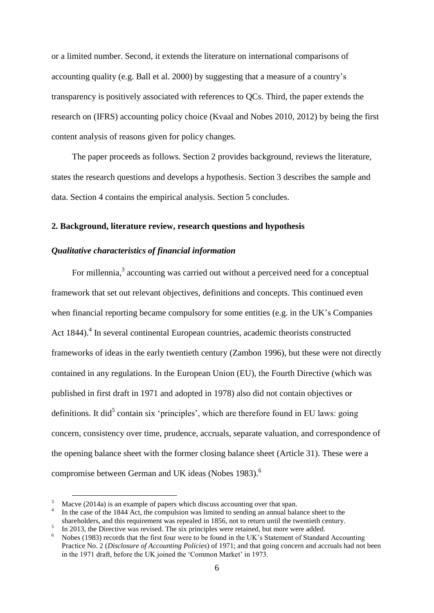or a limited number. Second, it extends the literature on international comparisons of accounting quality (e.g. Ball et al. 2000) by suggesting that a measure of a country's transparency is positively associated with references to QCs. Third, the paper extends the research on (IFRS) accounting policy choice (Kvaal and Nobes 2010, 2012) by being the first content analysis of reasons given for policy changes.

The paper proceeds as follows. Section 2 provides background, reviews the literature, states the research questions and develops a hypothesis. Section 3 describes the sample and data. Section 4 contains the empirical analysis. Section 5 concludes.

#### **2. Background, literature review, research questions and hypothesis**

### *Qualitative characteristics of financial information*

For millennia,<sup>3</sup> accounting was carried out without a perceived need for a conceptual framework that set out relevant objectives, definitions and concepts. This continued even when financial reporting became compulsory for some entities (e.g. in the UK's Companies Act 1844).<sup>4</sup> In several continental European countries, academic theorists constructed frameworks of ideas in the early twentieth century (Zambon 1996), but these were not directly contained in any regulations. In the European Union (EU), the Fourth Directive (which was published in first draft in 1971 and adopted in 1978) also did not contain objectives or definitions. It did<sup>5</sup> contain six 'principles', which are therefore found in EU laws: going concern, consistency over time, prudence, accruals, separate valuation, and correspondence of the opening balance sheet with the former closing balance sheet (Article 31). These were a compromise between German and UK ideas (Nobes 1983). 6

Macve (2014a) is an example of papers which discuss accounting over that span.

<sup>4</sup> In the case of the 1844 Act, the compulsion was limited to sending an annual balance sheet to the shareholders, and this requirement was repealed in 1856, not to return until the twentieth century.

<sup>5</sup> In 2013, the Directive was revised. The six principles were retained, but more were added.

Nobes (1983) records that the first four were to be found in the UK's Statement of Standard Accounting Practice No. 2 (*Disclosure of Accounting Policies*) of 1971; and that going concern and accruals had not been in the 1971 draft, before the UK joined the 'Common Market' in 1973.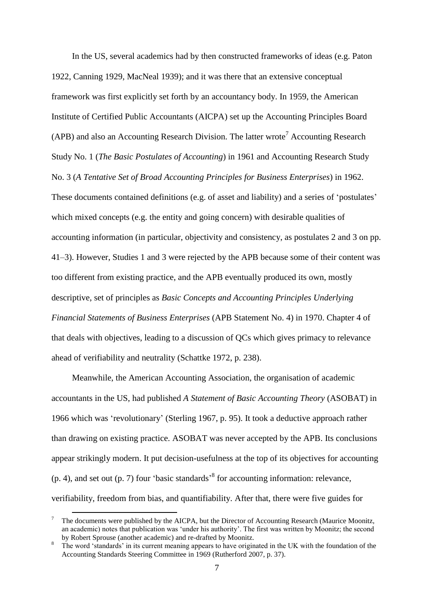In the US, several academics had by then constructed frameworks of ideas (e.g. Paton 1922, Canning 1929, MacNeal 1939); and it was there that an extensive conceptual framework was first explicitly set forth by an accountancy body. In 1959, the American Institute of Certified Public Accountants (AICPA) set up the Accounting Principles Board (APB) and also an Accounting Research Division. The latter wrote<sup>7</sup> Accounting Research Study No. 1 (*The Basic Postulates of Accounting*) in 1961 and Accounting Research Study No. 3 (*A Tentative Set of Broad Accounting Principles for Business Enterprises*) in 1962. These documents contained definitions (e.g. of asset and liability) and a series of 'postulates' which mixed concepts (e.g. the entity and going concern) with desirable qualities of accounting information (in particular, objectivity and consistency, as postulates 2 and 3 on pp. 41–3). However, Studies 1 and 3 were rejected by the APB because some of their content was too different from existing practice, and the APB eventually produced its own, mostly descriptive, set of principles as *Basic Concepts and Accounting Principles Underlying Financial Statements of Business Enterprises* (APB Statement No. 4) in 1970. Chapter 4 of that deals with objectives, leading to a discussion of QCs which gives primacy to relevance ahead of verifiability and neutrality (Schattke 1972, p. 238).

Meanwhile, the American Accounting Association, the organisation of academic accountants in the US, had published *A Statement of Basic Accounting Theory* (ASOBAT) in 1966 which was 'revolutionary' (Sterling 1967, p. 95). It took a deductive approach rather than drawing on existing practice. ASOBAT was never accepted by the APB. Its conclusions appear strikingly modern. It put decision-usefulness at the top of its objectives for accounting  $(p. 4)$ , and set out  $(p. 7)$  four 'basic standards' for accounting information: relevance, verifiability, freedom from bias, and quantifiability. After that, there were five guides for

<sup>7</sup> The documents were published by the AICPA, but the Director of Accounting Research (Maurice Moonitz, an academic) notes that publication was 'under his authority'. The first was written by Moonitz; the second by Robert Sprouse (another academic) and re-drafted by Moonitz.

The word 'standards' in its current meaning appears to have originated in the UK with the foundation of the Accounting Standards Steering Committee in 1969 (Rutherford 2007, p. 37).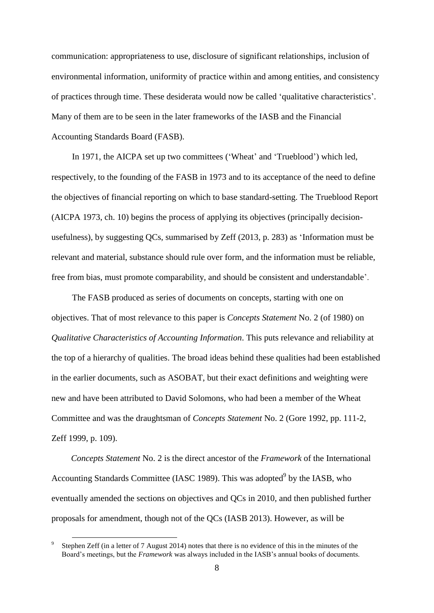communication: appropriateness to use, disclosure of significant relationships, inclusion of environmental information, uniformity of practice within and among entities, and consistency of practices through time. These desiderata would now be called 'qualitative characteristics'. Many of them are to be seen in the later frameworks of the IASB and the Financial Accounting Standards Board (FASB).

In 1971, the AICPA set up two committees ('Wheat' and 'Trueblood') which led, respectively, to the founding of the FASB in 1973 and to its acceptance of the need to define the objectives of financial reporting on which to base standard-setting. The Trueblood Report (AICPA 1973, ch. 10) begins the process of applying its objectives (principally decisionusefulness), by suggesting QCs, summarised by Zeff (2013, p. 283) as 'Information must be relevant and material, substance should rule over form, and the information must be reliable, free from bias, must promote comparability, and should be consistent and understandable'.

The FASB produced as series of documents on concepts, starting with one on objectives. That of most relevance to this paper is *Concepts Statement* No. 2 (of 1980) on *Qualitative Characteristics of Accounting Information*. This puts relevance and reliability at the top of a hierarchy of qualities. The broad ideas behind these qualities had been established in the earlier documents, such as ASOBAT, but their exact definitions and weighting were new and have been attributed to David Solomons, who had been a member of the Wheat Committee and was the draughtsman of *Concepts Statement* No. 2 (Gore 1992, pp. 111-2, Zeff 1999, p. 109).

*Concepts Statement* No. 2 is the direct ancestor of the *Framework* of the International Accounting Standards Committee (IASC 1989). This was adopted<sup>9</sup> by the IASB, who eventually amended the sections on objectives and QCs in 2010, and then published further proposals for amendment, though not of the QCs (IASB 2013). However, as will be

<sup>9</sup> Stephen Zeff (in a letter of 7 August 2014) notes that there is no evidence of this in the minutes of the Board's meetings, but the *Framework* was always included in the IASB's annual books of documents.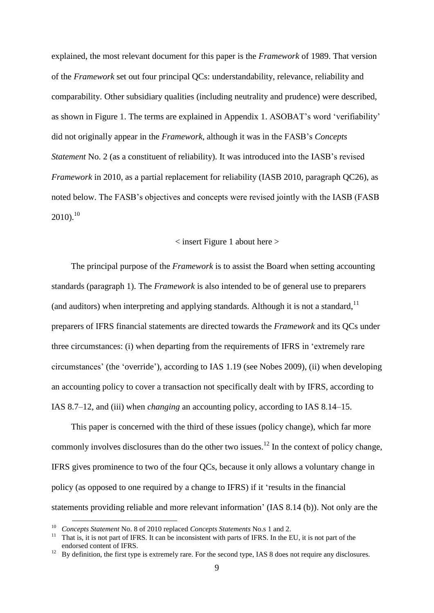explained, the most relevant document for this paper is the *Framework* of 1989. That version of the *Framework* set out four principal QCs: understandability, relevance, reliability and comparability. Other subsidiary qualities (including neutrality and prudence) were described, as shown in Figure 1. The terms are explained in Appendix 1. ASOBAT's word 'verifiability' did not originally appear in the *Framework*, although it was in the FASB's *Concepts Statement* No. 2 (as a constituent of reliability). It was introduced into the IASB's revised *Framework* in 2010, as a partial replacement for reliability (IASB 2010, paragraph QC26), as noted below. The FASB's objectives and concepts were revised jointly with the IASB (FASB  $2010$ ).<sup>10</sup>

#### < insert Figure 1 about here >

The principal purpose of the *Framework* is to assist the Board when setting accounting standards (paragraph 1). The *Framework* is also intended to be of general use to preparers (and auditors) when interpreting and applying standards. Although it is not a standard,  $11$ preparers of IFRS financial statements are directed towards the *Framework* and its QCs under three circumstances: (i) when departing from the requirements of IFRS in 'extremely rare circumstances' (the 'override'), according to IAS 1.19 (see Nobes 2009), (ii) when developing an accounting policy to cover a transaction not specifically dealt with by IFRS, according to IAS 8.7–12, and (iii) when *changing* an accounting policy, according to IAS 8.14–15.

This paper is concerned with the third of these issues (policy change), which far more commonly involves disclosures than do the other two issues.<sup>12</sup> In the context of policy change, IFRS gives prominence to two of the four QCs, because it only allows a voluntary change in policy (as opposed to one required by a change to IFRS) if it 'results in the financial statements providing reliable and more relevant information' (IAS 8.14 (b)). Not only are the

<sup>10</sup> *Concepts Statement* No. 8 of 2010 replaced *Concepts Statements* No.s 1 and 2.

<sup>&</sup>lt;sup>11</sup> That is, it is not part of IFRS. It can be inconsistent with parts of IFRS. In the EU, it is not part of the endorsed content of IFRS.

<sup>&</sup>lt;sup>12</sup> By definition, the first type is extremely rare. For the second type, IAS 8 does not require any disclosures.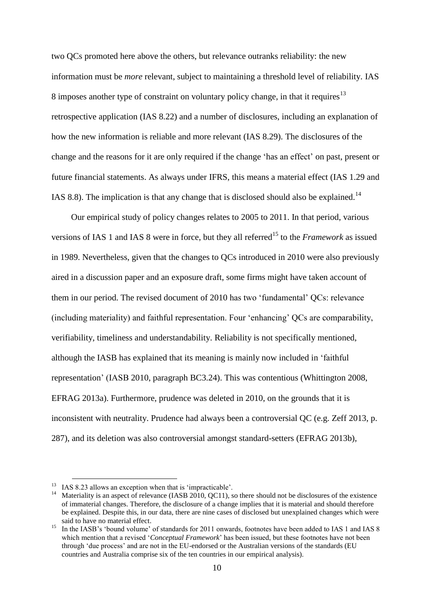two QCs promoted here above the others, but relevance outranks reliability: the new information must be *more* relevant, subject to maintaining a threshold level of reliability. IAS 8 imposes another type of constraint on voluntary policy change, in that it requires<sup>13</sup> retrospective application (IAS 8.22) and a number of disclosures, including an explanation of how the new information is reliable and more relevant (IAS 8.29). The disclosures of the change and the reasons for it are only required if the change 'has an effect' on past, present or future financial statements. As always under IFRS, this means a material effect (IAS 1.29 and IAS 8.8). The implication is that any change that is disclosed should also be explained.<sup>14</sup>

Our empirical study of policy changes relates to 2005 to 2011. In that period, various versions of IAS 1 and IAS 8 were in force, but they all referred<sup>15</sup> to the *Framework* as issued in 1989. Nevertheless, given that the changes to QCs introduced in 2010 were also previously aired in a discussion paper and an exposure draft, some firms might have taken account of them in our period. The revised document of 2010 has two 'fundamental' QCs: relevance (including materiality) and faithful representation. Four 'enhancing' QCs are comparability, verifiability, timeliness and understandability. Reliability is not specifically mentioned, although the IASB has explained that its meaning is mainly now included in 'faithful representation' (IASB 2010, paragraph BC3.24). This was contentious (Whittington 2008, EFRAG 2013a). Furthermore, prudence was deleted in 2010, on the grounds that it is inconsistent with neutrality. Prudence had always been a controversial QC (e.g. Zeff 2013, p. 287), and its deletion was also controversial amongst standard-setters (EFRAG 2013b),

<sup>&</sup>lt;sup>13</sup> IAS 8.23 allows an exception when that is 'impracticable'.

<sup>&</sup>lt;sup>14</sup> Materiality is an aspect of relevance (IASB 2010, QC11), so there should not be disclosures of the existence of immaterial changes. Therefore, the disclosure of a change implies that it is material and should therefore be explained. Despite this, in our data, there are nine cases of disclosed but unexplained changes which were said to have no material effect.

<sup>&</sup>lt;sup>15</sup> In the IASB's 'bound volume' of standards for 2011 onwards, footnotes have been added to IAS 1 and IAS 8 which mention that a revised '*Conceptual Framework*' has been issued, but these footnotes have not been through 'due process' and are not in the EU-endorsed or the Australian versions of the standards (EU countries and Australia comprise six of the ten countries in our empirical analysis).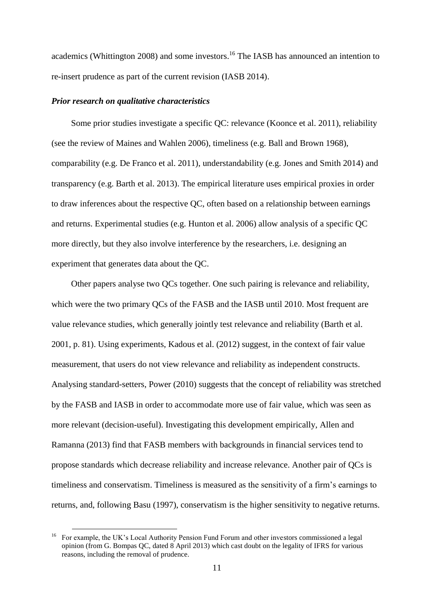academics (Whittington 2008) and some investors.<sup>16</sup> The IASB has announced an intention to re-insert prudence as part of the current revision (IASB 2014).

## *Prior research on qualitative characteristics*

Some prior studies investigate a specific QC: relevance (Koonce et al. 2011), reliability (see the review of Maines and Wahlen 2006), timeliness (e.g. Ball and Brown 1968), comparability (e.g. De Franco et al. 2011), understandability (e.g. Jones and Smith 2014) and transparency (e.g. Barth et al. 2013). The empirical literature uses empirical proxies in order to draw inferences about the respective QC, often based on a relationship between earnings and returns. Experimental studies (e.g. Hunton et al. 2006) allow analysis of a specific QC more directly, but they also involve interference by the researchers, i.e. designing an experiment that generates data about the QC.

Other papers analyse two QCs together. One such pairing is relevance and reliability, which were the two primary QCs of the FASB and the IASB until 2010. Most frequent are value relevance studies, which generally jointly test relevance and reliability (Barth et al. 2001, p. 81). Using experiments, Kadous et al. (2012) suggest, in the context of fair value measurement, that users do not view relevance and reliability as independent constructs. Analysing standard-setters, Power (2010) suggests that the concept of reliability was stretched by the FASB and IASB in order to accommodate more use of fair value, which was seen as more relevant (decision-useful). Investigating this development empirically, Allen and Ramanna (2013) find that FASB members with backgrounds in financial services tend to propose standards which decrease reliability and increase relevance. Another pair of QCs is timeliness and conservatism. Timeliness is measured as the sensitivity of a firm's earnings to returns, and, following Basu (1997), conservatism is the higher sensitivity to negative returns.

<sup>16</sup> For example, the UK's Local Authority Pension Fund Forum and other investors commissioned a legal opinion (from G. Bompas QC, dated 8 April 2013) which cast doubt on the legality of IFRS for various reasons, including the removal of prudence.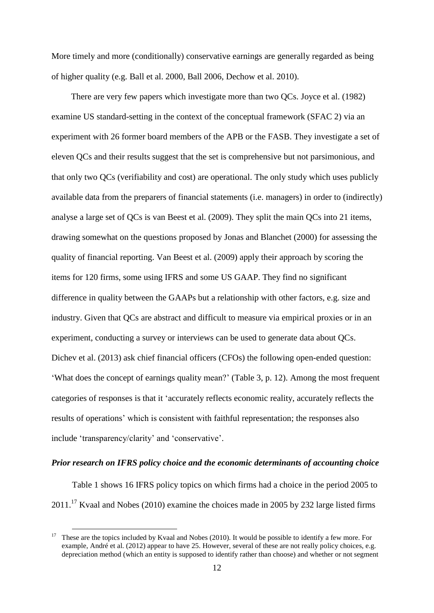More timely and more (conditionally) conservative earnings are generally regarded as being of higher quality (e.g. Ball et al. 2000, Ball 2006, Dechow et al. 2010).

There are very few papers which investigate more than two QCs. Joyce et al. (1982) examine US standard-setting in the context of the conceptual framework (SFAC 2) via an experiment with 26 former board members of the APB or the FASB. They investigate a set of eleven QCs and their results suggest that the set is comprehensive but not parsimonious, and that only two QCs (verifiability and cost) are operational. The only study which uses publicly available data from the preparers of financial statements (i.e. managers) in order to (indirectly) analyse a large set of QCs is van Beest et al. (2009). They split the main QCs into 21 items, drawing somewhat on the questions proposed by Jonas and Blanchet (2000) for assessing the quality of financial reporting. Van Beest et al. (2009) apply their approach by scoring the items for 120 firms, some using IFRS and some US GAAP. They find no significant difference in quality between the GAAPs but a relationship with other factors, e.g. size and industry. Given that QCs are abstract and difficult to measure via empirical proxies or in an experiment, conducting a survey or interviews can be used to generate data about QCs. Dichev et al. (2013) ask chief financial officers (CFOs) the following open-ended question: 'What does the concept of earnings quality mean?' (Table 3, p. 12). Among the most frequent categories of responses is that it 'accurately reflects economic reality, accurately reflects the results of operations' which is consistent with faithful representation; the responses also include 'transparency/clarity' and 'conservative'.

#### *Prior research on IFRS policy choice and the economic determinants of accounting choice*

Table 1 shows 16 IFRS policy topics on which firms had a choice in the period 2005 to  $2011<sup>17</sup>$  Kvaal and Nobes (2010) examine the choices made in 2005 by 232 large listed firms

<sup>17</sup> These are the topics included by Kvaal and Nobes (2010). It would be possible to identify a few more. For example, André et al. (2012) appear to have 25. However, several of these are not really policy choices, e.g. depreciation method (which an entity is supposed to identify rather than choose) and whether or not segment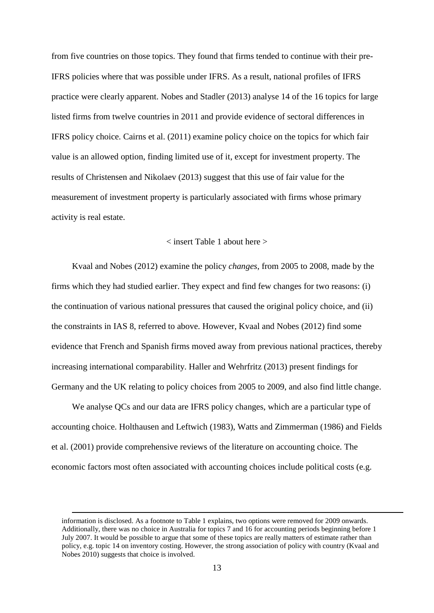from five countries on those topics. They found that firms tended to continue with their pre-IFRS policies where that was possible under IFRS. As a result, national profiles of IFRS practice were clearly apparent. Nobes and Stadler (2013) analyse 14 of the 16 topics for large listed firms from twelve countries in 2011 and provide evidence of sectoral differences in IFRS policy choice. Cairns et al. (2011) examine policy choice on the topics for which fair value is an allowed option, finding limited use of it, except for investment property. The results of Christensen and Nikolaev (2013) suggest that this use of fair value for the measurement of investment property is particularly associated with firms whose primary activity is real estate.

## < insert Table 1 about here >

Kvaal and Nobes (2012) examine the policy *changes*, from 2005 to 2008, made by the firms which they had studied earlier. They expect and find few changes for two reasons: (i) the continuation of various national pressures that caused the original policy choice, and (ii) the constraints in IAS 8, referred to above. However, Kvaal and Nobes (2012) find some evidence that French and Spanish firms moved away from previous national practices, thereby increasing international comparability. Haller and Wehrfritz (2013) present findings for Germany and the UK relating to policy choices from 2005 to 2009, and also find little change.

We analyse QCs and our data are IFRS policy changes, which are a particular type of accounting choice. Holthausen and Leftwich (1983), Watts and Zimmerman (1986) and Fields et al. (2001) provide comprehensive reviews of the literature on accounting choice. The economic factors most often associated with accounting choices include political costs (e.g.

1

information is disclosed. As a footnote to Table 1 explains, two options were removed for 2009 onwards. Additionally, there was no choice in Australia for topics 7 and 16 for accounting periods beginning before 1 July 2007. It would be possible to argue that some of these topics are really matters of estimate rather than policy, e.g. topic 14 on inventory costing. However, the strong association of policy with country (Kvaal and Nobes 2010) suggests that choice is involved.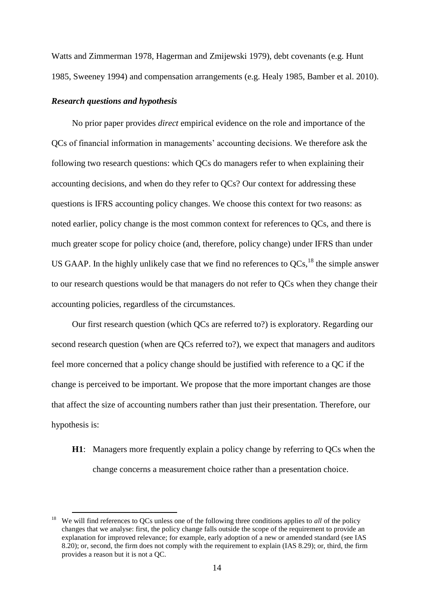Watts and Zimmerman 1978, Hagerman and Zmijewski 1979), debt covenants (e.g. Hunt 1985, Sweeney 1994) and compensation arrangements (e.g. Healy 1985, Bamber et al. 2010).

## *Research questions and hypothesis*

 $\overline{a}$ 

No prior paper provides *direct* empirical evidence on the role and importance of the QCs of financial information in managements' accounting decisions. We therefore ask the following two research questions: which QCs do managers refer to when explaining their accounting decisions, and when do they refer to QCs? Our context for addressing these questions is IFRS accounting policy changes. We choose this context for two reasons: as noted earlier, policy change is the most common context for references to QCs, and there is much greater scope for policy choice (and, therefore, policy change) under IFRS than under US GAAP. In the highly unlikely case that we find no references to  $QCs$ ,<sup>18</sup> the simple answer to our research questions would be that managers do not refer to QCs when they change their accounting policies, regardless of the circumstances.

Our first research question (which QCs are referred to?) is exploratory. Regarding our second research question (when are QCs referred to?), we expect that managers and auditors feel more concerned that a policy change should be justified with reference to a QC if the change is perceived to be important. We propose that the more important changes are those that affect the size of accounting numbers rather than just their presentation. Therefore, our hypothesis is:

**H1**: Managers more frequently explain a policy change by referring to QCs when the change concerns a measurement choice rather than a presentation choice.

<sup>&</sup>lt;sup>18</sup> We will find references to QCs unless one of the following three conditions applies to *all* of the policy changes that we analyse: first, the policy change falls outside the scope of the requirement to provide an explanation for improved relevance; for example, early adoption of a new or amended standard (see IAS 8.20); or, second, the firm does not comply with the requirement to explain (IAS 8.29); or, third, the firm provides a reason but it is not a QC.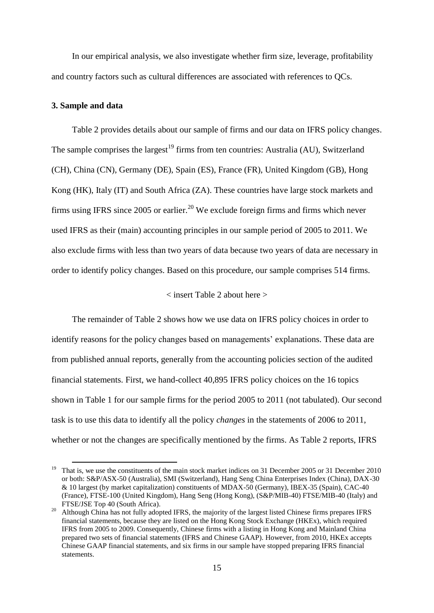In our empirical analysis, we also investigate whether firm size, leverage, profitability and country factors such as cultural differences are associated with references to QCs.

#### **3. Sample and data**

 $\overline{a}$ 

Table 2 provides details about our sample of firms and our data on IFRS policy changes. The sample comprises the largest<sup>19</sup> firms from ten countries: Australia (AU), Switzerland (CH), China (CN), Germany (DE), Spain (ES), France (FR), United Kingdom (GB), Hong Kong (HK), Italy (IT) and South Africa (ZA). These countries have large stock markets and firms using IFRS since 2005 or earlier.<sup>20</sup> We exclude foreign firms and firms which never used IFRS as their (main) accounting principles in our sample period of 2005 to 2011. We also exclude firms with less than two years of data because two years of data are necessary in order to identify policy changes. Based on this procedure, our sample comprises 514 firms.

## < insert Table 2 about here >

The remainder of Table 2 shows how we use data on IFRS policy choices in order to identify reasons for the policy changes based on managements' explanations. These data are from published annual reports, generally from the accounting policies section of the audited financial statements. First, we hand-collect 40,895 IFRS policy choices on the 16 topics shown in Table 1 for our sample firms for the period 2005 to 2011 (not tabulated). Our second task is to use this data to identify all the policy *changes* in the statements of 2006 to 2011, whether or not the changes are specifically mentioned by the firms. As Table 2 reports, IFRS

<sup>19</sup> That is, we use the constituents of the main stock market indices on 31 December 2005 or 31 December 2010 or both: S&P/ASX-50 (Australia), SMI (Switzerland), Hang Seng China Enterprises Index (China), DAX-30 & 10 largest (by market capitalization) constituents of MDAX-50 (Germany), IBEX-35 (Spain), CAC-40 (France), FTSE-100 (United Kingdom), Hang Seng (Hong Kong), (S&P/MIB-40) FTSE/MIB-40 (Italy) and FTSE/JSE Top 40 (South Africa).

<sup>&</sup>lt;sup>20</sup> Although China has not fully adopted IFRS, the majority of the largest listed Chinese firms prepares IFRS financial statements, because they are listed on the Hong Kong Stock Exchange (HKEx), which required IFRS from 2005 to 2009. Consequently, Chinese firms with a listing in Hong Kong and Mainland China prepared two sets of financial statements (IFRS and Chinese GAAP). However, from 2010, HKEx accepts Chinese GAAP financial statements, and six firms in our sample have stopped preparing IFRS financial statements.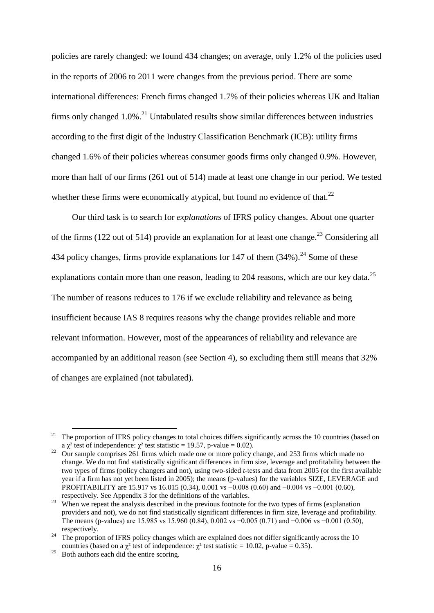policies are rarely changed: we found 434 changes; on average, only 1.2% of the policies used in the reports of 2006 to 2011 were changes from the previous period. There are some international differences: French firms changed 1.7% of their policies whereas UK and Italian firms only changed  $1.0\%$ <sup>21</sup> Untabulated results show similar differences between industries according to the first digit of the Industry Classification Benchmark (ICB): utility firms changed 1.6% of their policies whereas consumer goods firms only changed 0.9%. However, more than half of our firms (261 out of 514) made at least one change in our period. We tested whether these firms were economically atypical, but found no evidence of that.<sup>22</sup>

Our third task is to search for *explanations* of IFRS policy changes. About one quarter of the firms (122 out of 514) provide an explanation for at least one change.<sup>23</sup> Considering all 434 policy changes, firms provide explanations for 147 of them  $(34\%)$ <sup>24</sup> Some of these explanations contain more than one reason, leading to 204 reasons, which are our key data.<sup>25</sup> The number of reasons reduces to 176 if we exclude reliability and relevance as being insufficient because IAS 8 requires reasons why the change provides reliable and more relevant information. However, most of the appearances of reliability and relevance are accompanied by an additional reason (see Section 4), so excluding them still means that 32% of changes are explained (not tabulated).

<sup>21</sup> The proportion of IFRS policy changes to total choices differs significantly across the 10 countries (based on a  $\gamma^2$  test of independence:  $\gamma^2$  test statistic = 19.57, p-value = 0.02).

<sup>22</sup> Our sample comprises 261 firms which made one or more policy change, and 253 firms which made no change. We do not find statistically significant differences in firm size, leverage and profitability between the two types of firms (policy changers and not), using two-sided *t*-tests and data from 2005 (or the first available year if a firm has not yet been listed in 2005); the means (p-values) for the variables SIZE, LEVERAGE and PROFITABILITY are 15.917 vs 16.015 (0.34), 0.001 vs −0.008 (0.60) and −0.004 vs −0.001 (0.60), respectively. See Appendix 3 for the definitions of the variables.

<sup>&</sup>lt;sup>23</sup> When we repeat the analysis described in the previous footnote for the two types of firms (explanation providers and not), we do not find statistically significant differences in firm size, leverage and profitability. The means (p-values) are 15.985 vs 15.960 (0.84), 0.002 vs −0.005 (0.71) and −0.006 vs −0.001 (0.50), respectively.

 $24$  The proportion of IFRS policy changes which are explained does not differ significantly across the 10 countries (based on a  $\gamma^2$  test of independence:  $\gamma^2$  test statistic = 10.02, p-value = 0.35).

Both authors each did the entire scoring.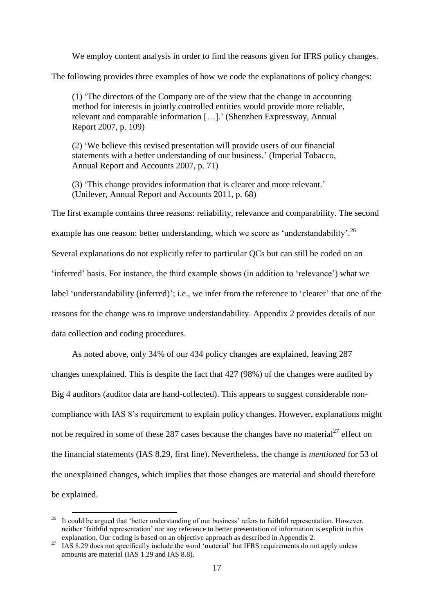We employ content analysis in order to find the reasons given for IFRS policy changes.

The following provides three examples of how we code the explanations of policy changes:

(1) 'The directors of the Company are of the view that the change in accounting method for interests in jointly controlled entities would provide more reliable, relevant and comparable information […].' (Shenzhen Expressway, Annual Report 2007, p. 109)

(2) 'We believe this revised presentation will provide users of our financial statements with a better understanding of our business.' (Imperial Tobacco, Annual Report and Accounts 2007, p. 71)

(3) 'This change provides information that is clearer and more relevant.' (Unilever, Annual Report and Accounts 2011, p. 68)

The first example contains three reasons: reliability, relevance and comparability. The second example has one reason: better understanding, which we score as 'understandability'.<sup>26</sup> Several explanations do not explicitly refer to particular QCs but can still be coded on an 'inferred' basis. For instance, the third example shows (in addition to 'relevance') what we label 'understandability (inferred)'; i.e., we infer from the reference to 'clearer' that one of the reasons for the change was to improve understandability. Appendix 2 provides details of our data collection and coding procedures.

As noted above, only 34% of our 434 policy changes are explained, leaving 287 changes unexplained. This is despite the fact that 427 (98%) of the changes were audited by Big 4 auditors (auditor data are hand-collected). This appears to suggest considerable noncompliance with IAS 8's requirement to explain policy changes. However, explanations might not be required in some of these 287 cases because the changes have no material<sup>27</sup> effect on the financial statements (IAS 8.29, first line). Nevertheless, the change is *mentioned* for 53 of the unexplained changes, which implies that those changes are material and should therefore be explained.

<sup>&</sup>lt;sup>26</sup> It could be argued that 'better understanding of our business' refers to faithful representation. However, neither 'faithful representation' nor any reference to better presentation of information is explicit in this explanation. Our coding is based on an objective approach as described in Appendix 2.

<sup>27</sup> IAS 8.29 does not specifically include the word 'material' but IFRS requirements do not apply unless amounts are material (IAS 1.29 and IAS 8.8).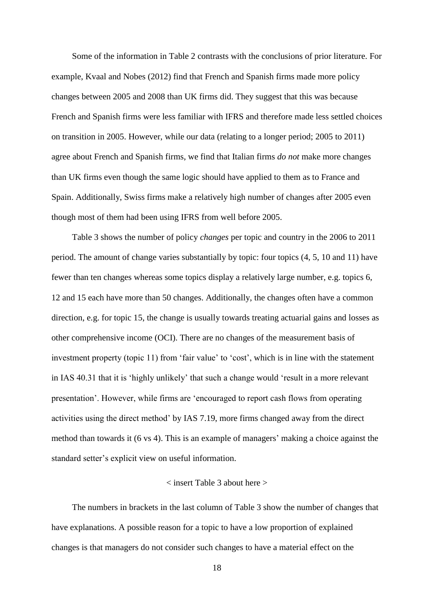Some of the information in Table 2 contrasts with the conclusions of prior literature. For example, Kvaal and Nobes (2012) find that French and Spanish firms made more policy changes between 2005 and 2008 than UK firms did. They suggest that this was because French and Spanish firms were less familiar with IFRS and therefore made less settled choices on transition in 2005. However, while our data (relating to a longer period; 2005 to 2011) agree about French and Spanish firms, we find that Italian firms *do not* make more changes than UK firms even though the same logic should have applied to them as to France and Spain. Additionally, Swiss firms make a relatively high number of changes after 2005 even though most of them had been using IFRS from well before 2005.

Table 3 shows the number of policy *changes* per topic and country in the 2006 to 2011 period. The amount of change varies substantially by topic: four topics (4, 5, 10 and 11) have fewer than ten changes whereas some topics display a relatively large number, e.g. topics 6, 12 and 15 each have more than 50 changes. Additionally, the changes often have a common direction, e.g. for topic 15, the change is usually towards treating actuarial gains and losses as other comprehensive income (OCI). There are no changes of the measurement basis of investment property (topic 11) from 'fair value' to 'cost', which is in line with the statement in IAS 40.31 that it is 'highly unlikely' that such a change would 'result in a more relevant presentation'. However, while firms are 'encouraged to report cash flows from operating activities using the direct method' by IAS 7.19, more firms changed away from the direct method than towards it (6 vs 4). This is an example of managers' making a choice against the standard setter's explicit view on useful information.

## < insert Table 3 about here >

The numbers in brackets in the last column of Table 3 show the number of changes that have explanations. A possible reason for a topic to have a low proportion of explained changes is that managers do not consider such changes to have a material effect on the

18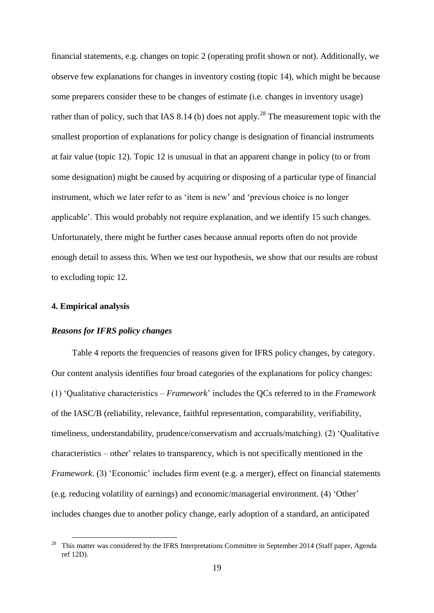financial statements, e.g. changes on topic 2 (operating profit shown or not). Additionally, we observe few explanations for changes in inventory costing (topic 14), which might be because some preparers consider these to be changes of estimate (i.e. changes in inventory usage) rather than of policy, such that IAS 8.14 (b) does not apply.<sup>28</sup> The measurement topic with the smallest proportion of explanations for policy change is designation of financial instruments at fair value (topic 12). Topic 12 is unusual in that an apparent change in policy (to or from some designation) might be caused by acquiring or disposing of a particular type of financial instrument, which we later refer to as 'item is new' and 'previous choice is no longer applicable'. This would probably not require explanation, and we identify 15 such changes. Unfortunately, there might be further cases because annual reports often do not provide enough detail to assess this. When we test our hypothesis, we show that our results are robust to excluding topic 12.

## **4. Empirical analysis**

 $\overline{a}$ 

## *Reasons for IFRS policy changes*

Table 4 reports the frequencies of reasons given for IFRS policy changes, by category. Our content analysis identifies four broad categories of the explanations for policy changes: (1) 'Qualitative characteristics – *Framework*' includes the QCs referred to in the *Framework* of the IASC/B (reliability, relevance, faithful representation, comparability, verifiability, timeliness, understandability, prudence/conservatism and accruals/matching). (2) 'Qualitative characteristics – other' relates to transparency, which is not specifically mentioned in the *Framework*. (3) 'Economic' includes firm event (e.g. a merger), effect on financial statements (e.g. reducing volatility of earnings) and economic/managerial environment. (4) 'Other' includes changes due to another policy change, early adoption of a standard, an anticipated

<sup>28</sup> This matter was considered by the IFRS Interpretations Committee in September 2014 (Staff paper, Agenda ref 12D).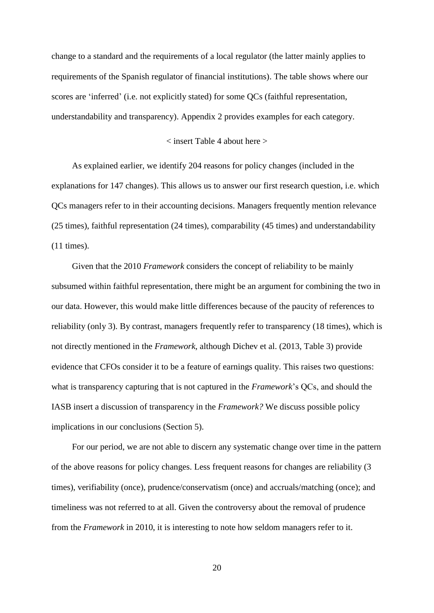change to a standard and the requirements of a local regulator (the latter mainly applies to requirements of the Spanish regulator of financial institutions). The table shows where our scores are 'inferred' (i.e. not explicitly stated) for some QCs (faithful representation, understandability and transparency). Appendix 2 provides examples for each category.

## < insert Table 4 about here >

As explained earlier, we identify 204 reasons for policy changes (included in the explanations for 147 changes). This allows us to answer our first research question, i.e. which QCs managers refer to in their accounting decisions. Managers frequently mention relevance (25 times), faithful representation (24 times), comparability (45 times) and understandability (11 times).

Given that the 2010 *Framework* considers the concept of reliability to be mainly subsumed within faithful representation, there might be an argument for combining the two in our data. However, this would make little differences because of the paucity of references to reliability (only 3). By contrast, managers frequently refer to transparency (18 times), which is not directly mentioned in the *Framework*, although Dichev et al. (2013, Table 3) provide evidence that CFOs consider it to be a feature of earnings quality. This raises two questions: what is transparency capturing that is not captured in the *Framework*'s QCs, and should the IASB insert a discussion of transparency in the *Framework?* We discuss possible policy implications in our conclusions (Section 5).

For our period, we are not able to discern any systematic change over time in the pattern of the above reasons for policy changes. Less frequent reasons for changes are reliability (3 times), verifiability (once), prudence/conservatism (once) and accruals/matching (once); and timeliness was not referred to at all. Given the controversy about the removal of prudence from the *Framework* in 2010, it is interesting to note how seldom managers refer to it.

20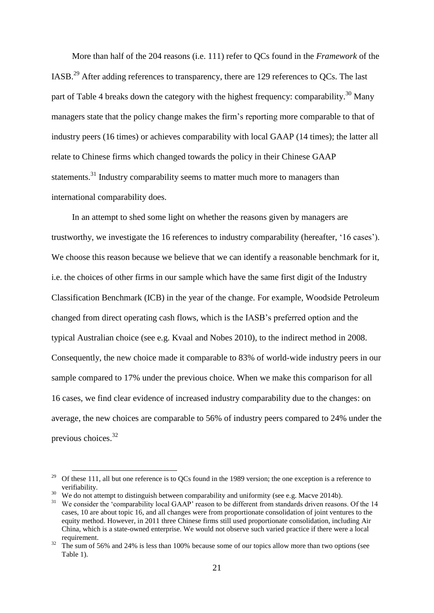More than half of the 204 reasons (i.e. 111) refer to QCs found in the *Framework* of the IASB.<sup>29</sup> After adding references to transparency, there are 129 references to QCs. The last part of Table 4 breaks down the category with the highest frequency: comparability.<sup>30</sup> Many managers state that the policy change makes the firm's reporting more comparable to that of industry peers (16 times) or achieves comparability with local GAAP (14 times); the latter all relate to Chinese firms which changed towards the policy in their Chinese GAAP statements.<sup>31</sup> Industry comparability seems to matter much more to managers than international comparability does.

In an attempt to shed some light on whether the reasons given by managers are trustworthy, we investigate the 16 references to industry comparability (hereafter, '16 cases'). We choose this reason because we believe that we can identify a reasonable benchmark for it, i.e. the choices of other firms in our sample which have the same first digit of the Industry Classification Benchmark (ICB) in the year of the change. For example, Woodside Petroleum changed from direct operating cash flows, which is the IASB's preferred option and the typical Australian choice (see e.g. Kvaal and Nobes 2010), to the indirect method in 2008. Consequently, the new choice made it comparable to 83% of world-wide industry peers in our sample compared to 17% under the previous choice. When we make this comparison for all 16 cases, we find clear evidence of increased industry comparability due to the changes: on average, the new choices are comparable to 56% of industry peers compared to 24% under the previous choices. 32

<sup>&</sup>lt;sup>29</sup> Of these 111, all but one reference is to QCs found in the 1989 version; the one exception is a reference to verifiability.

 $30\,$  We do not attempt to distinguish between comparability and uniformity (see e.g. Macve 2014b).

<sup>&</sup>lt;sup>31</sup> We consider the 'comparability local GAAP' reason to be different from standards driven reasons. Of the 14 cases, 10 are about topic 16, and all changes were from proportionate consolidation of joint ventures to the equity method. However, in 2011 three Chinese firms still used proportionate consolidation, including Air China, which is a state-owned enterprise. We would not observe such varied practice if there were a local requirement.

<sup>32</sup> The sum of 56% and 24% is less than 100% because some of our topics allow more than two options (see Table 1).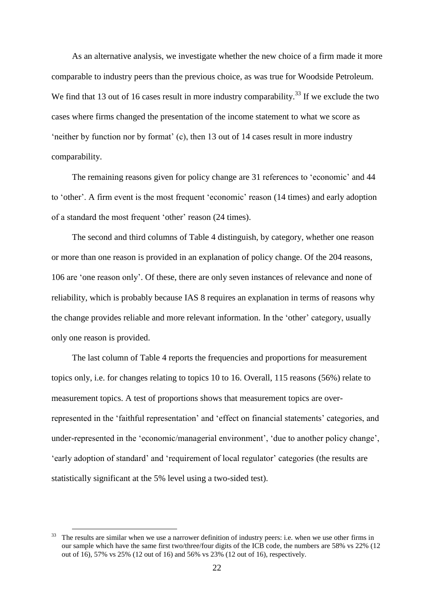As an alternative analysis, we investigate whether the new choice of a firm made it more comparable to industry peers than the previous choice, as was true for Woodside Petroleum. We find that 13 out of 16 cases result in more industry comparability.<sup>33</sup> If we exclude the two cases where firms changed the presentation of the income statement to what we score as 'neither by function nor by format' (c), then 13 out of 14 cases result in more industry comparability.

The remaining reasons given for policy change are 31 references to 'economic' and 44 to 'other'. A firm event is the most frequent 'economic' reason (14 times) and early adoption of a standard the most frequent 'other' reason (24 times).

The second and third columns of Table 4 distinguish, by category, whether one reason or more than one reason is provided in an explanation of policy change. Of the 204 reasons, 106 are 'one reason only'. Of these, there are only seven instances of relevance and none of reliability, which is probably because IAS 8 requires an explanation in terms of reasons why the change provides reliable and more relevant information. In the 'other' category, usually only one reason is provided.

The last column of Table 4 reports the frequencies and proportions for measurement topics only, i.e. for changes relating to topics 10 to 16. Overall, 115 reasons (56%) relate to measurement topics. A test of proportions shows that measurement topics are overrepresented in the 'faithful representation' and 'effect on financial statements' categories, and under-represented in the 'economic/managerial environment', 'due to another policy change', 'early adoption of standard' and 'requirement of local regulator' categories (the results are statistically significant at the 5% level using a two-sided test).

The results are similar when we use a narrower definition of industry peers: i.e. when we use other firms in our sample which have the same first two/three/four digits of the ICB code, the numbers are 58% vs 22% (12 out of 16), 57% vs 25% (12 out of 16) and 56% vs 23% (12 out of 16), respectively.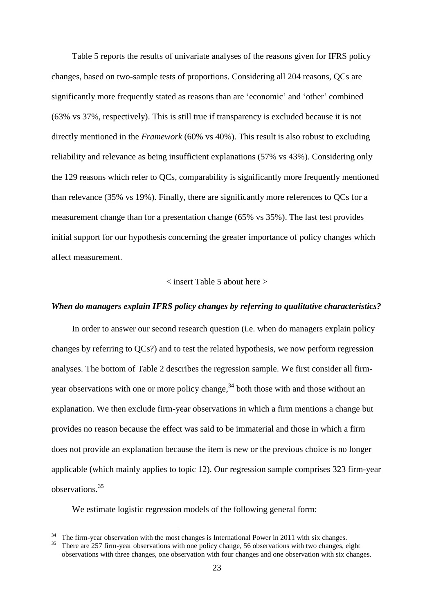Table 5 reports the results of univariate analyses of the reasons given for IFRS policy changes, based on two-sample tests of proportions. Considering all 204 reasons, QCs are significantly more frequently stated as reasons than are 'economic' and 'other' combined (63% vs 37%, respectively). This is still true if transparency is excluded because it is not directly mentioned in the *Framework* (60% vs 40%). This result is also robust to excluding reliability and relevance as being insufficient explanations (57% vs 43%). Considering only the 129 reasons which refer to QCs, comparability is significantly more frequently mentioned than relevance (35% vs 19%). Finally, there are significantly more references to QCs for a measurement change than for a presentation change (65% vs 35%). The last test provides initial support for our hypothesis concerning the greater importance of policy changes which affect measurement.

#### < insert Table 5 about here >

## *When do managers explain IFRS policy changes by referring to qualitative characteristics?*

In order to answer our second research question (i.e. when do managers explain policy changes by referring to QCs?) and to test the related hypothesis, we now perform regression analyses. The bottom of Table 2 describes the regression sample. We first consider all firmyear observations with one or more policy change,<sup>34</sup> both those with and those without an explanation. We then exclude firm-year observations in which a firm mentions a change but provides no reason because the effect was said to be immaterial and those in which a firm does not provide an explanation because the item is new or the previous choice is no longer applicable (which mainly applies to topic 12). Our regression sample comprises 323 firm-year observations.<sup>35</sup>

We estimate logistic regression models of the following general form:

The firm-year observation with the most changes is International Power in 2011 with six changes.

<sup>35</sup> There are 257 firm-year observations with one policy change, 56 observations with two changes, eight observations with three changes, one observation with four changes and one observation with six changes.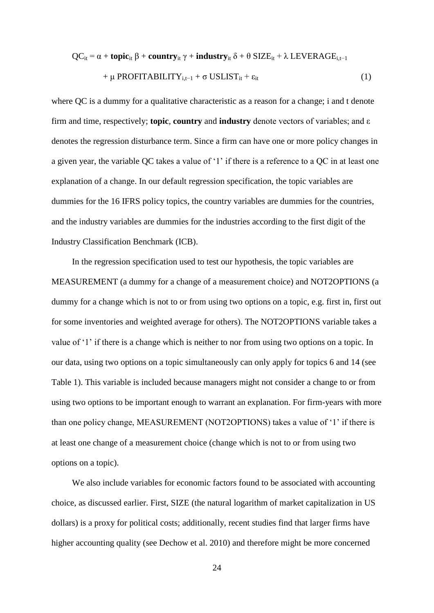$$
QC_{it} = \alpha + \text{topic}_{it} \beta + \text{country}_{it} \gamma + \text{industry}_{it} \delta + \theta \, \text{SIZE}_{it} + \lambda \, \text{LEVERAGE}_{i, t-1} \\
+ \mu \, \text{PROFITABILITY}_{i, t-1} + \sigma \, \text{USLIST}_{it} + \varepsilon_{it} \tag{1}
$$

where QC is a dummy for a qualitative characteristic as a reason for a change; i and t denote firm and time, respectively; **topic**, **country** and **industry** denote vectors of variables; and ε denotes the regression disturbance term. Since a firm can have one or more policy changes in a given year, the variable QC takes a value of '1' if there is a reference to a QC in at least one explanation of a change. In our default regression specification, the topic variables are dummies for the 16 IFRS policy topics, the country variables are dummies for the countries, and the industry variables are dummies for the industries according to the first digit of the Industry Classification Benchmark (ICB).

In the regression specification used to test our hypothesis, the topic variables are MEASUREMENT (a dummy for a change of a measurement choice) and NOT2OPTIONS (a dummy for a change which is not to or from using two options on a topic, e.g. first in, first out for some inventories and weighted average for others). The NOT2OPTIONS variable takes a value of '1' if there is a change which is neither to nor from using two options on a topic. In our data, using two options on a topic simultaneously can only apply for topics 6 and 14 (see Table 1). This variable is included because managers might not consider a change to or from using two options to be important enough to warrant an explanation. For firm-years with more than one policy change, MEASUREMENT (NOT2OPTIONS) takes a value of '1' if there is at least one change of a measurement choice (change which is not to or from using two options on a topic).

We also include variables for economic factors found to be associated with accounting choice, as discussed earlier. First, SIZE (the natural logarithm of market capitalization in US dollars) is a proxy for political costs; additionally, recent studies find that larger firms have higher accounting quality (see Dechow et al. 2010) and therefore might be more concerned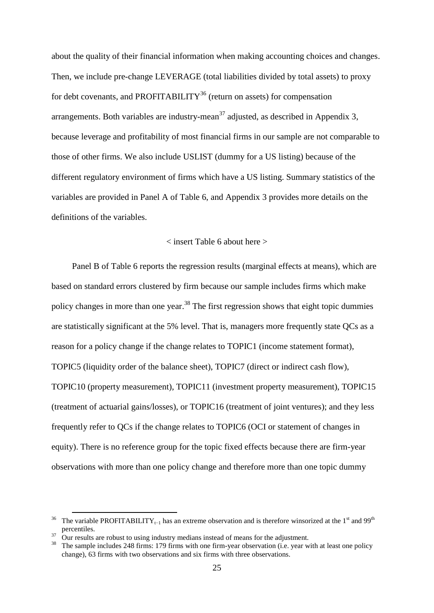about the quality of their financial information when making accounting choices and changes. Then, we include pre-change LEVERAGE (total liabilities divided by total assets) to proxy for debt covenants, and PROFITABILITY<sup>36</sup> (return on assets) for compensation arrangements. Both variables are industry-mean<sup>37</sup> adjusted, as described in Appendix 3, because leverage and profitability of most financial firms in our sample are not comparable to those of other firms. We also include USLIST (dummy for a US listing) because of the different regulatory environment of firms which have a US listing. Summary statistics of the variables are provided in Panel A of Table 6, and Appendix 3 provides more details on the definitions of the variables.

#### < insert Table 6 about here >

Panel B of Table 6 reports the regression results (marginal effects at means), which are based on standard errors clustered by firm because our sample includes firms which make policy changes in more than one year.<sup>38</sup> The first regression shows that eight topic dummies are statistically significant at the 5% level. That is, managers more frequently state QCs as a reason for a policy change if the change relates to TOPIC1 (income statement format), TOPIC5 (liquidity order of the balance sheet), TOPIC7 (direct or indirect cash flow), TOPIC10 (property measurement), TOPIC11 (investment property measurement), TOPIC15 (treatment of actuarial gains/losses), or TOPIC16 (treatment of joint ventures); and they less frequently refer to QCs if the change relates to TOPIC6 (OCI or statement of changes in equity). There is no reference group for the topic fixed effects because there are firm-year observations with more than one policy change and therefore more than one topic dummy

<sup>&</sup>lt;sup>36</sup> The variable PROFITABILITY<sub>t−1</sub> has an extreme observation and is therefore winsorized at the 1<sup>st</sup> and 99<sup>th</sup> percentiles.

<sup>37</sup> Our results are robust to using industry medians instead of means for the adjustment.

<sup>38</sup> The sample includes 248 firms: 179 firms with one firm-year observation (i.e. year with at least one policy change), 63 firms with two observations and six firms with three observations.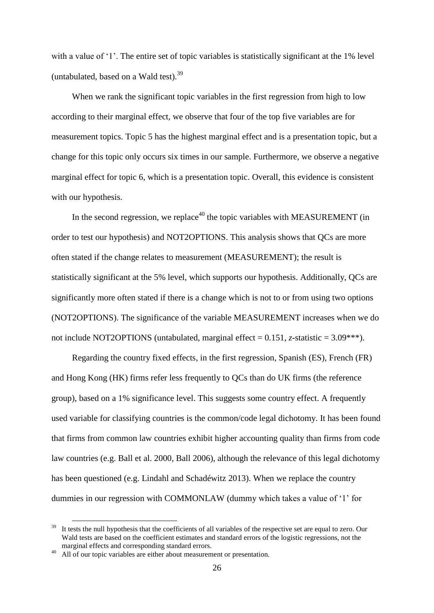with a value of '1'. The entire set of topic variables is statistically significant at the 1% level (untabulated, based on a Wald test). $39$ 

When we rank the significant topic variables in the first regression from high to low according to their marginal effect, we observe that four of the top five variables are for measurement topics. Topic 5 has the highest marginal effect and is a presentation topic, but a change for this topic only occurs six times in our sample. Furthermore, we observe a negative marginal effect for topic 6, which is a presentation topic. Overall, this evidence is consistent with our hypothesis.

In the second regression, we replace<sup>40</sup> the topic variables with MEASUREMENT (in order to test our hypothesis) and NOT2OPTIONS. This analysis shows that QCs are more often stated if the change relates to measurement (MEASUREMENT); the result is statistically significant at the 5% level, which supports our hypothesis. Additionally, QCs are significantly more often stated if there is a change which is not to or from using two options (NOT2OPTIONS). The significance of the variable MEASUREMENT increases when we do not include NOT2OPTIONS (untabulated, marginal effect = 0.151, *z*-statistic = 3.09\*\*\*).

Regarding the country fixed effects, in the first regression, Spanish (ES), French (FR) and Hong Kong (HK) firms refer less frequently to QCs than do UK firms (the reference group), based on a 1% significance level. This suggests some country effect. A frequently used variable for classifying countries is the common/code legal dichotomy. It has been found that firms from common law countries exhibit higher accounting quality than firms from code law countries (e.g. Ball et al. 2000, Ball 2006), although the relevance of this legal dichotomy has been questioned (e.g. Lindahl and Schadéwitz 2013). When we replace the country dummies in our regression with COMMONLAW (dummy which takes a value of '1' for

It tests the null hypothesis that the coefficients of all variables of the respective set are equal to zero. Our Wald tests are based on the coefficient estimates and standard errors of the logistic regressions, not the marginal effects and corresponding standard errors.

All of our topic variables are either about measurement or presentation.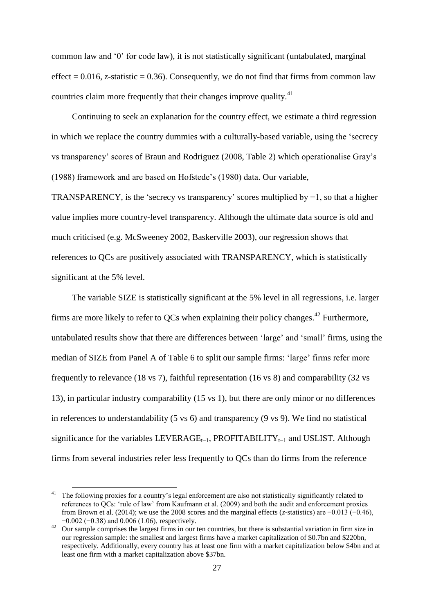common law and '0' for code law), it is not statistically significant (untabulated, marginal effect =  $0.016$ , *z*-statistic = 0.36). Consequently, we do not find that firms from common law countries claim more frequently that their changes improve quality.<sup>41</sup>

Continuing to seek an explanation for the country effect, we estimate a third regression in which we replace the country dummies with a culturally-based variable, using the 'secrecy vs transparency' scores of Braun and Rodriguez (2008, Table 2) which operationalise Gray's (1988) framework and are based on Hofstede's (1980) data. Our variable,

TRANSPARENCY, is the 'secrecy vs transparency' scores multiplied by  $-1$ , so that a higher value implies more country-level transparency. Although the ultimate data source is old and much criticised (e.g. McSweeney 2002, Baskerville 2003), our regression shows that references to QCs are positively associated with TRANSPARENCY, which is statistically significant at the 5% level.

The variable SIZE is statistically significant at the 5% level in all regressions, i.e. larger firms are more likely to refer to QCs when explaining their policy changes.<sup>42</sup> Furthermore, untabulated results show that there are differences between 'large' and 'small' firms, using the median of SIZE from Panel A of Table 6 to split our sample firms: 'large' firms refer more frequently to relevance (18 vs 7), faithful representation (16 vs 8) and comparability (32 vs 13), in particular industry comparability (15 vs 1), but there are only minor or no differences in references to understandability (5 vs 6) and transparency (9 vs 9). We find no statistical significance for the variables LEVERAGE<sub>t−1</sub>, PROFITABILITY<sub>t−1</sub> and USLIST. Although firms from several industries refer less frequently to QCs than do firms from the reference

<sup>&</sup>lt;sup>41</sup> The following proxies for a country's legal enforcement are also not statistically significantly related to references to QCs: 'rule of law' from Kaufmann et al. (2009) and both the audit and enforcement proxies from Brown et al. (2014); we use the 2008 scores and the marginal effects (*z*-statistics) are −0.013 (−0.46), −0.002 (−0.38) and 0.006 (1.06), respectively.

<sup>&</sup>lt;sup>42</sup> Our sample comprises the largest firms in our ten countries, but there is substantial variation in firm size in our regression sample: the smallest and largest firms have a market capitalization of \$0.7bn and \$220bn, respectively. Additionally, every country has at least one firm with a market capitalization below \$4bn and at least one firm with a market capitalization above \$37bn.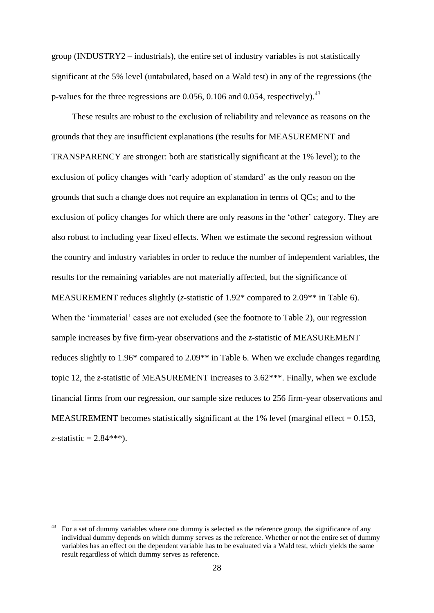group (INDUSTRY2 – industrials), the entire set of industry variables is not statistically significant at the 5% level (untabulated, based on a Wald test) in any of the regressions (the p-values for the three regressions are 0.056, 0.106 and 0.054, respectively).<sup>43</sup>

These results are robust to the exclusion of reliability and relevance as reasons on the grounds that they are insufficient explanations (the results for MEASUREMENT and TRANSPARENCY are stronger: both are statistically significant at the 1% level); to the exclusion of policy changes with 'early adoption of standard' as the only reason on the grounds that such a change does not require an explanation in terms of QCs; and to the exclusion of policy changes for which there are only reasons in the 'other' category. They are also robust to including year fixed effects. When we estimate the second regression without the country and industry variables in order to reduce the number of independent variables, the results for the remaining variables are not materially affected, but the significance of MEASUREMENT reduces slightly (*z*-statistic of 1.92\* compared to 2.09\*\* in Table 6). When the 'immaterial' cases are not excluded (see the footnote to Table 2), our regression sample increases by five firm-year observations and the *z*-statistic of MEASUREMENT reduces slightly to 1.96\* compared to 2.09\*\* in Table 6. When we exclude changes regarding topic 12, the *z*-statistic of MEASUREMENT increases to 3.62\*\*\*. Finally, when we exclude financial firms from our regression, our sample size reduces to 256 firm-year observations and MEASUREMENT becomes statistically significant at the 1% level (marginal effect  $= 0.153$ , *z*-statistic =  $2.84***$ ).

<sup>43</sup> For a set of dummy variables where one dummy is selected as the reference group, the significance of any individual dummy depends on which dummy serves as the reference. Whether or not the entire set of dummy variables has an effect on the dependent variable has to be evaluated via a Wald test, which yields the same result regardless of which dummy serves as reference.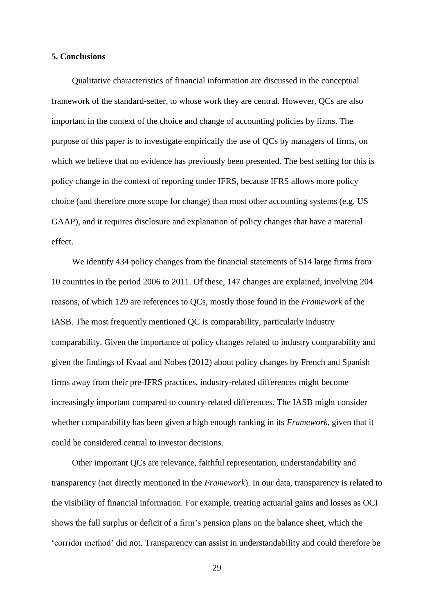## **5. Conclusions**

Qualitative characteristics of financial information are discussed in the conceptual framework of the standard-setter, to whose work they are central. However, QCs are also important in the context of the choice and change of accounting policies by firms. The purpose of this paper is to investigate empirically the use of QCs by managers of firms, on which we believe that no evidence has previously been presented. The best setting for this is policy change in the context of reporting under IFRS, because IFRS allows more policy choice (and therefore more scope for change) than most other accounting systems (e.g. US GAAP), and it requires disclosure and explanation of policy changes that have a material effect.

We identify 434 policy changes from the financial statements of 514 large firms from 10 countries in the period 2006 to 2011. Of these, 147 changes are explained, involving 204 reasons, of which 129 are references to QCs, mostly those found in the *Framework* of the IASB. The most frequently mentioned QC is comparability, particularly industry comparability. Given the importance of policy changes related to industry comparability and given the findings of Kvaal and Nobes (2012) about policy changes by French and Spanish firms away from their pre-IFRS practices, industry-related differences might become increasingly important compared to country-related differences. The IASB might consider whether comparability has been given a high enough ranking in its *Framework*, given that it could be considered central to investor decisions.

Other important QCs are relevance, faithful representation, understandability and transparency (not directly mentioned in the *Framework*). In our data, transparency is related to the visibility of financial information. For example, treating actuarial gains and losses as OCI shows the full surplus or deficit of a firm's pension plans on the balance sheet, which the 'corridor method' did not. Transparency can assist in understandability and could therefore be

29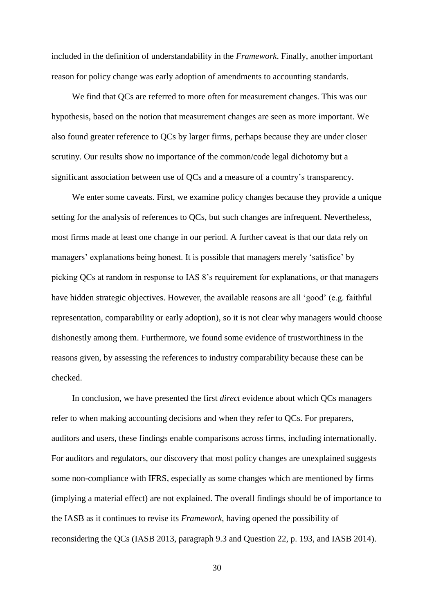included in the definition of understandability in the *Framework*. Finally, another important reason for policy change was early adoption of amendments to accounting standards.

We find that QCs are referred to more often for measurement changes. This was our hypothesis, based on the notion that measurement changes are seen as more important. We also found greater reference to QCs by larger firms, perhaps because they are under closer scrutiny. Our results show no importance of the common/code legal dichotomy but a significant association between use of QCs and a measure of a country's transparency.

We enter some caveats. First, we examine policy changes because they provide a unique setting for the analysis of references to QCs, but such changes are infrequent. Nevertheless, most firms made at least one change in our period. A further caveat is that our data rely on managers' explanations being honest. It is possible that managers merely 'satisfice' by picking QCs at random in response to IAS 8's requirement for explanations, or that managers have hidden strategic objectives. However, the available reasons are all 'good' (e.g. faithful representation, comparability or early adoption), so it is not clear why managers would choose dishonestly among them. Furthermore, we found some evidence of trustworthiness in the reasons given, by assessing the references to industry comparability because these can be checked.

In conclusion, we have presented the first *direct* evidence about which QCs managers refer to when making accounting decisions and when they refer to QCs. For preparers, auditors and users, these findings enable comparisons across firms, including internationally. For auditors and regulators, our discovery that most policy changes are unexplained suggests some non-compliance with IFRS, especially as some changes which are mentioned by firms (implying a material effect) are not explained. The overall findings should be of importance to the IASB as it continues to revise its *Framework*, having opened the possibility of reconsidering the QCs (IASB 2013, paragraph 9.3 and Question 22, p. 193, and IASB 2014).

30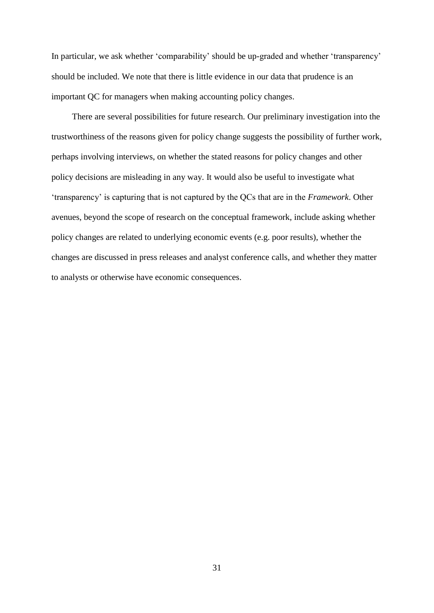In particular, we ask whether 'comparability' should be up-graded and whether 'transparency' should be included. We note that there is little evidence in our data that prudence is an important QC for managers when making accounting policy changes.

There are several possibilities for future research. Our preliminary investigation into the trustworthiness of the reasons given for policy change suggests the possibility of further work, perhaps involving interviews, on whether the stated reasons for policy changes and other policy decisions are misleading in any way. It would also be useful to investigate what 'transparency' is capturing that is not captured by the QCs that are in the *Framework*. Other avenues, beyond the scope of research on the conceptual framework, include asking whether policy changes are related to underlying economic events (e.g. poor results), whether the changes are discussed in press releases and analyst conference calls, and whether they matter to analysts or otherwise have economic consequences.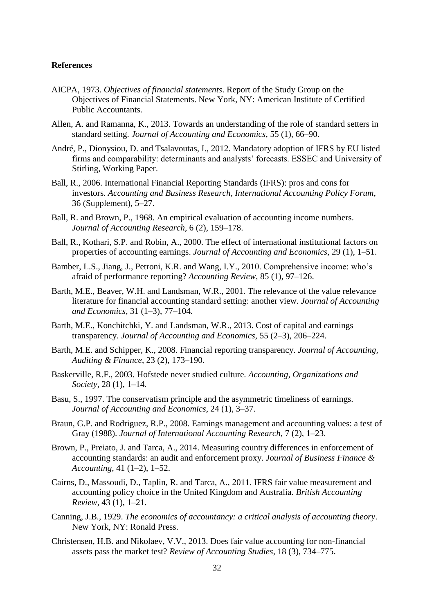#### **References**

- AICPA, 1973. *Objectives of financial statements*. Report of the Study Group on the Objectives of Financial Statements. New York, NY: American Institute of Certified Public Accountants.
- Allen, A. and Ramanna, K., 2013. Towards an understanding of the role of standard setters in standard setting. *Journal of Accounting and Economics*, 55 (1), 66–90.
- André, P., Dionysiou, D. and Tsalavoutas, I., 2012. Mandatory adoption of IFRS by EU listed firms and comparability: determinants and analysts' forecasts. ESSEC and University of Stirling, Working Paper.
- Ball, R., 2006. International Financial Reporting Standards (IFRS): pros and cons for investors. *Accounting and Business Research, International Accounting Policy Forum*, 36 (Supplement), 5–27.
- Ball, R. and Brown, P., 1968. An empirical evaluation of accounting income numbers. *Journal of Accounting Research*, 6 (2), 159–178.
- Ball, R., Kothari, S.P. and Robin, A., 2000. The effect of international institutional factors on properties of accounting earnings. *Journal of Accounting and Economics*, 29 (1), 1–51.
- Bamber, L.S., Jiang, J., Petroni, K.R. and Wang, I.Y., 2010. Comprehensive income: who's afraid of performance reporting? *Accounting Review*, 85 (1), 97–126.
- Barth, M.E., Beaver, W.H. and Landsman, W.R., 2001. The relevance of the value relevance literature for financial accounting standard setting: another view. *Journal of Accounting and Economics*, 31 (1–3), 77–104.
- Barth, M.E., Konchitchki, Y. and Landsman, W.R., 2013. Cost of capital and earnings transparency. *Journal of Accounting and Economics*, 55 (2–3), 206–224.
- Barth, M.E. and Schipper, K., 2008. Financial reporting transparency. *Journal of Accounting, Auditing & Finance*, 23 (2), 173–190.
- Baskerville, R.F., 2003. Hofstede never studied culture. *Accounting, Organizations and Society*, 28 (1), 1–14.
- Basu, S., 1997. The conservatism principle and the asymmetric timeliness of earnings. *Journal of Accounting and Economics*, 24 (1), 3–37.
- Braun, G.P. and Rodriguez, R.P., 2008. Earnings management and accounting values: a test of Gray (1988). *Journal of International Accounting Research*, 7 (2), 1–23.
- Brown, P., Preiato, J. and Tarca, A., 2014. Measuring country differences in enforcement of accounting standards: an audit and enforcement proxy. *Journal of Business Finance & Accounting*, 41 (1–2), 1–52.
- Cairns, D., Massoudi, D., Taplin, R. and Tarca, A., 2011. IFRS fair value measurement and accounting policy choice in the United Kingdom and Australia. *British Accounting Review*, 43 (1), 1–21.
- Canning, J.B., 1929. *The economics of accountancy: a critical analysis of accounting theory*. New York, NY: Ronald Press.
- Christensen, H.B. and Nikolaev, V.V., 2013. Does fair value accounting for non-financial assets pass the market test? *Review of Accounting Studies*, 18 (3), 734–775.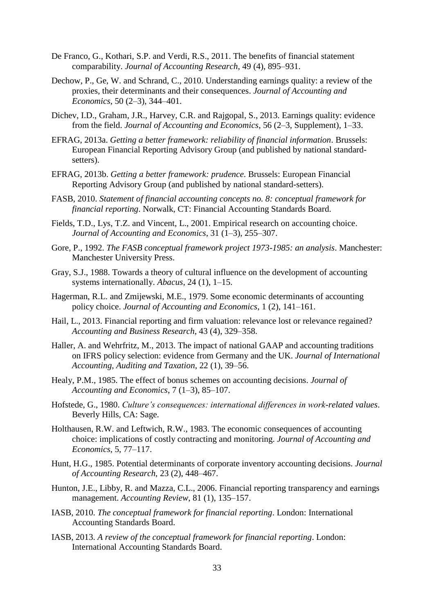- De Franco, G., Kothari, S.P. and Verdi, R.S., 2011. The benefits of financial statement comparability. *Journal of Accounting Research*, 49 (4), 895–931.
- Dechow, P., Ge, W. and Schrand, C., 2010. Understanding earnings quality: a review of the proxies, their determinants and their consequences. *Journal of Accounting and Economics*, 50 (2–3), 344–401.
- Dichev, I.D., Graham, J.R., Harvey, C.R. and Rajgopal, S., 2013. Earnings quality: evidence from the field. *Journal of Accounting and Economics*, 56 (2–3, Supplement), 1–33.
- EFRAG, 2013a. *Getting a better framework: reliability of financial information*. Brussels: European Financial Reporting Advisory Group (and published by national standardsetters).
- EFRAG, 2013b. *Getting a better framework: prudence*. Brussels: European Financial Reporting Advisory Group (and published by national standard-setters).
- FASB, 2010. *Statement of financial accounting concepts no. 8: conceptual framework for financial reporting*. Norwalk, CT: Financial Accounting Standards Board.
- Fields, T.D., Lys, T.Z. and Vincent, L., 2001. Empirical research on accounting choice. *Journal of Accounting and Economics*, 31 (1–3), 255–307.
- Gore, P., 1992. *The FASB conceptual framework project 1973-1985: an analysis*. Manchester: Manchester University Press.
- Gray, S.J., 1988. Towards a theory of cultural influence on the development of accounting systems internationally. *Abacus*, 24 (1), 1–15.
- Hagerman, R.L. and Zmijewski, M.E., 1979. Some economic determinants of accounting policy choice. *Journal of Accounting and Economics*, 1 (2), 141–161.
- Hail, L., 2013. Financial reporting and firm valuation: relevance lost or relevance regained? *Accounting and Business Research*, 43 (4), 329–358.
- Haller, A. and Wehrfritz, M., 2013. The impact of national GAAP and accounting traditions on IFRS policy selection: evidence from Germany and the UK. *Journal of International Accounting, Auditing and Taxation*, 22 (1), 39–56.
- Healy, P.M., 1985. The effect of bonus schemes on accounting decisions. *Journal of Accounting and Economics*, 7 (1–3), 85–107.
- Hofstede, G., 1980. *Culture's consequences: international differences in work-related values*. Beverly Hills, CA: Sage.
- Holthausen, R.W. and Leftwich, R.W., 1983. The economic consequences of accounting choice: implications of costly contracting and monitoring. *Journal of Accounting and Economics*, 5, 77–117.
- Hunt, H.G., 1985. Potential determinants of corporate inventory accounting decisions. *Journal of Accounting Research*, 23 (2), 448–467.
- Hunton, J.E., Libby, R. and Mazza, C.L., 2006. Financial reporting transparency and earnings management. *Accounting Review*, 81 (1), 135–157.
- IASB, 2010. *The conceptual framework for financial reporting*. London: International Accounting Standards Board.
- IASB, 2013. *A review of the conceptual framework for financial reporting*. London: International Accounting Standards Board.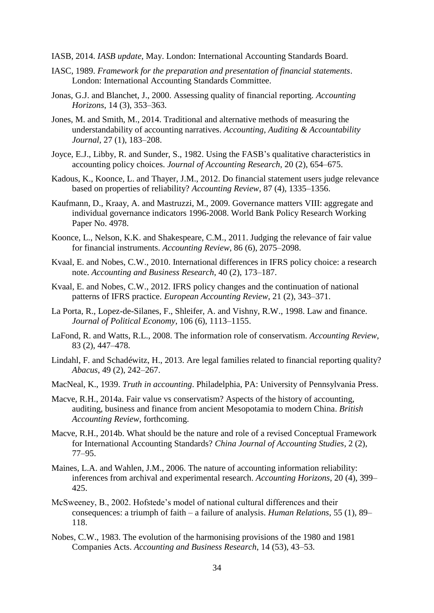- IASB, 2014. *IASB update*, May. London: International Accounting Standards Board.
- IASC, 1989. *Framework for the preparation and presentation of financial statements*. London: International Accounting Standards Committee.
- Jonas, G.J. and Blanchet, J., 2000. Assessing quality of financial reporting. *Accounting Horizons*, 14 (3), 353–363.
- Jones, M. and Smith, M., 2014. Traditional and alternative methods of measuring the understandability of accounting narratives. *Accounting, Auditing & Accountability Journal*, 27 (1), 183–208.
- Joyce, E.J., Libby, R. and Sunder, S., 1982. Using the FASB's qualitative characteristics in accounting policy choices. *Journal of Accounting Research*, 20 (2), 654–675.
- Kadous, K., Koonce, L. and Thayer, J.M., 2012. Do financial statement users judge relevance based on properties of reliability? *Accounting Review*, 87 (4), 1335–1356.
- Kaufmann, D., Kraay, A. and Mastruzzi, M., 2009. Governance matters VIII: aggregate and individual governance indicators 1996-2008. World Bank Policy Research Working Paper No. 4978.
- Koonce, L., Nelson, K.K. and Shakespeare, C.M., 2011. Judging the relevance of fair value for financial instruments. *Accounting Review*, 86 (6), 2075–2098.
- Kvaal, E. and Nobes, C.W., 2010. International differences in IFRS policy choice: a research note. *Accounting and Business Research*, 40 (2), 173–187.
- Kvaal, E. and Nobes, C.W., 2012. IFRS policy changes and the continuation of national patterns of IFRS practice. *European Accounting Review*, 21 (2), 343–371.
- La Porta, R., Lopez-de-Silanes, F., Shleifer, A. and Vishny, R.W., 1998. Law and finance. *Journal of Political Economy*, 106 (6), 1113–1155.
- LaFond, R. and Watts, R.L., 2008. The information role of conservatism. *Accounting Review*, 83 (2), 447–478.
- Lindahl, F. and Schadéwitz, H., 2013. Are legal families related to financial reporting quality? *Abacus*, 49 (2), 242–267.
- MacNeal, K., 1939. *Truth in accounting*. Philadelphia, PA: University of Pennsylvania Press.
- Macve, R.H., 2014a. Fair value vs conservatism? Aspects of the history of accounting, auditing, business and finance from ancient Mesopotamia to modern China. *British Accounting Review*, forthcoming.
- Macve, R.H., 2014b. What should be the nature and role of a revised Conceptual Framework for International Accounting Standards? *China Journal of Accounting Studies*, 2 (2), 77–95.
- Maines, L.A. and Wahlen, J.M., 2006. The nature of accounting information reliability: inferences from archival and experimental research. *Accounting Horizons*, 20 (4), 399– 425.
- McSweeney, B., 2002. Hofstede's model of national cultural differences and their consequences: a triumph of faith – a failure of analysis. *Human Relations*, 55 (1), 89– 118.
- Nobes, C.W., 1983. The evolution of the harmonising provisions of the 1980 and 1981 Companies Acts. *Accounting and Business Research*, 14 (53), 43–53.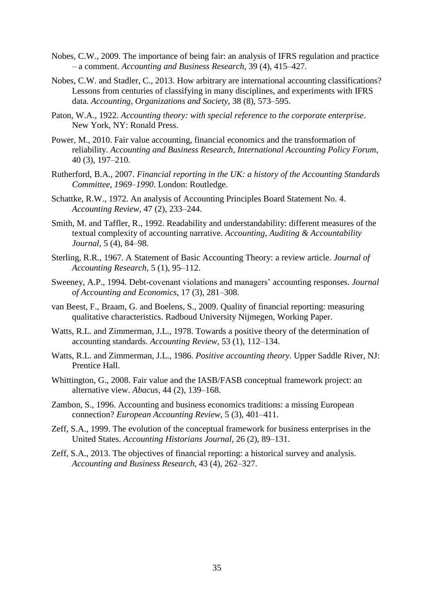- Nobes, C.W., 2009. The importance of being fair: an analysis of IFRS regulation and practice – a comment. *Accounting and Business Research*, 39 (4), 415–427.
- Nobes, C.W. and Stadler, C., 2013. How arbitrary are international accounting classifications? Lessons from centuries of classifying in many disciplines, and experiments with IFRS data. *Accounting, Organizations and Society*, 38 (8), 573–595.
- Paton, W.A., 1922. *Accounting theory: with special reference to the corporate enterprise*. New York, NY: Ronald Press.
- Power, M., 2010. Fair value accounting, financial economics and the transformation of reliability. *Accounting and Business Research, International Accounting Policy Forum*, 40 (3), 197–210.
- Rutherford, B.A., 2007. *Financial reporting in the UK: a history of the Accounting Standards Committee, 1969–1990*. London: Routledge.
- Schattke, R.W., 1972. An analysis of Accounting Principles Board Statement No. 4. *Accounting Review*, 47 (2), 233–244.
- Smith, M. and Taffler, R., 1992. Readability and understandability: different measures of the textual complexity of accounting narrative. *Accounting, Auditing & Accountability Journal*, 5 (4), 84–98.
- Sterling, R.R., 1967. A Statement of Basic Accounting Theory: a review article. *Journal of Accounting Research*, 5 (1), 95–112.
- Sweeney, A.P., 1994. Debt-covenant violations and managers' accounting responses. *Journal of Accounting and Economics*, 17 (3), 281–308.
- van Beest, F., Braam, G. and Boelens, S., 2009. Quality of financial reporting: measuring qualitative characteristics. Radboud University Nijmegen, Working Paper.
- Watts, R.L. and Zimmerman, J.L., 1978. Towards a positive theory of the determination of accounting standards. *Accounting Review*, 53 (1), 112–134.
- Watts, R.L. and Zimmerman, J.L., 1986. *Positive accounting theory*. Upper Saddle River, NJ: Prentice Hall.
- Whittington, G., 2008. Fair value and the IASB/FASB conceptual framework project: an alternative view. *Abacus*, 44 (2), 139–168.
- Zambon, S., 1996. Accounting and business economics traditions: a missing European connection? *European Accounting Review*, 5 (3), 401–411.
- Zeff, S.A., 1999. The evolution of the conceptual framework for business enterprises in the United States. *Accounting Historians Journal*, 26 (2), 89–131.
- Zeff, S.A., 2013. The objectives of financial reporting: a historical survey and analysis. *Accounting and Business Research*, 43 (4), 262–327.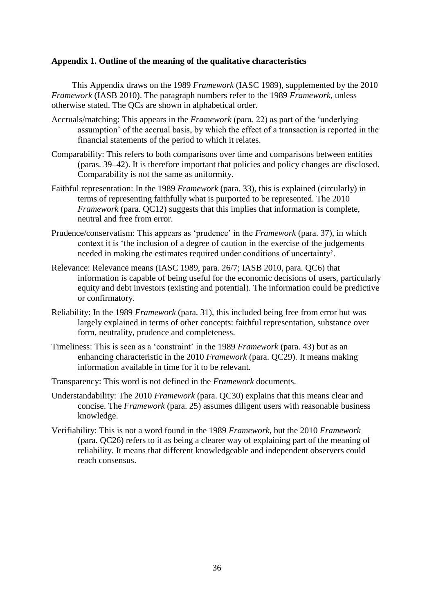## **Appendix 1. Outline of the meaning of the qualitative characteristics**

This Appendix draws on the 1989 *Framework* (IASC 1989), supplemented by the 2010 *Framework* (IASB 2010). The paragraph numbers refer to the 1989 *Framework*, unless otherwise stated. The QCs are shown in alphabetical order.

- Accruals/matching: This appears in the *Framework* (para. 22) as part of the 'underlying assumption' of the accrual basis, by which the effect of a transaction is reported in the financial statements of the period to which it relates.
- Comparability: This refers to both comparisons over time and comparisons between entities (paras. 39–42). It is therefore important that policies and policy changes are disclosed. Comparability is not the same as uniformity.
- Faithful representation: In the 1989 *Framework* (para. 33), this is explained (circularly) in terms of representing faithfully what is purported to be represented. The 2010 *Framework* (para. QC12) suggests that this implies that information is complete, neutral and free from error.
- Prudence/conservatism: This appears as 'prudence' in the *Framework* (para. 37), in which context it is 'the inclusion of a degree of caution in the exercise of the judgements needed in making the estimates required under conditions of uncertainty'.
- Relevance: Relevance means (IASC 1989, para. 26/7; IASB 2010, para. QC6) that information is capable of being useful for the economic decisions of users, particularly equity and debt investors (existing and potential). The information could be predictive or confirmatory.
- Reliability: In the 1989 *Framework* (para. 31), this included being free from error but was largely explained in terms of other concepts: faithful representation, substance over form, neutrality, prudence and completeness.
- Timeliness: This is seen as a 'constraint' in the 1989 *Framework* (para. 43) but as an enhancing characteristic in the 2010 *Framework* (para. QC29). It means making information available in time for it to be relevant.
- Transparency: This word is not defined in the *Framework* documents.
- Understandability: The 2010 *Framework* (para. QC30) explains that this means clear and concise. The *Framework* (para. 25) assumes diligent users with reasonable business knowledge.
- Verifiability: This is not a word found in the 1989 *Framework*, but the 2010 *Framework* (para. QC26) refers to it as being a clearer way of explaining part of the meaning of reliability. It means that different knowledgeable and independent observers could reach consensus.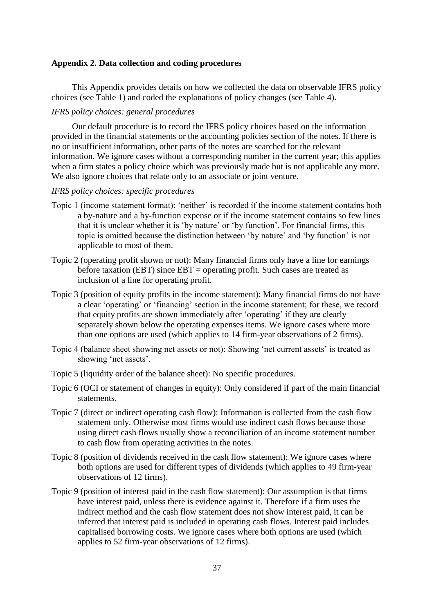#### **Appendix 2. Data collection and coding procedures**

This Appendix provides details on how we collected the data on observable IFRS policy choices (see Table 1) and coded the explanations of policy changes (see Table 4).

## *IFRS policy choices: general procedures*

Our default procedure is to record the IFRS policy choices based on the information provided in the financial statements or the accounting policies section of the notes. If there is no or insufficient information, other parts of the notes are searched for the relevant information. We ignore cases without a corresponding number in the current year; this applies when a firm states a policy choice which was previously made but is not applicable any more. We also ignore choices that relate only to an associate or joint venture.

#### *IFRS policy choices: specific procedures*

- Topic 1 (income statement format): 'neither' is recorded if the income statement contains both a by-nature and a by-function expense or if the income statement contains so few lines that it is unclear whether it is 'by nature' or 'by function'. For financial firms, this topic is omitted because the distinction between 'by nature' and 'by function' is not applicable to most of them.
- Topic 2 (operating profit shown or not): Many financial firms only have a line for earnings before taxation (EBT) since EBT = operating profit. Such cases are treated as inclusion of a line for operating profit.
- Topic 3 (position of equity profits in the income statement): Many financial firms do not have a clear 'operating' or 'financing' section in the income statement; for these, we record that equity profits are shown immediately after 'operating' if they are clearly separately shown below the operating expenses items. We ignore cases where more than one options are used (which applies to 14 firm-year observations of 2 firms).
- Topic 4 (balance sheet showing net assets or not): Showing 'net current assets' is treated as showing 'net assets'.
- Topic 5 (liquidity order of the balance sheet): No specific procedures.
- Topic 6 (OCI or statement of changes in equity): Only considered if part of the main financial statements.
- Topic 7 (direct or indirect operating cash flow): Information is collected from the cash flow statement only. Otherwise most firms would use indirect cash flows because those using direct cash flows usually show a reconciliation of an income statement number to cash flow from operating activities in the notes.
- Topic 8 (position of dividends received in the cash flow statement): We ignore cases where both options are used for different types of dividends (which applies to 49 firm-year observations of 12 firms).
- Topic 9 (position of interest paid in the cash flow statement): Our assumption is that firms have interest paid, unless there is evidence against it. Therefore if a firm uses the indirect method and the cash flow statement does not show interest paid, it can be inferred that interest paid is included in operating cash flows. Interest paid includes capitalised borrowing costs. We ignore cases where both options are used (which applies to 52 firm-year observations of 12 firms).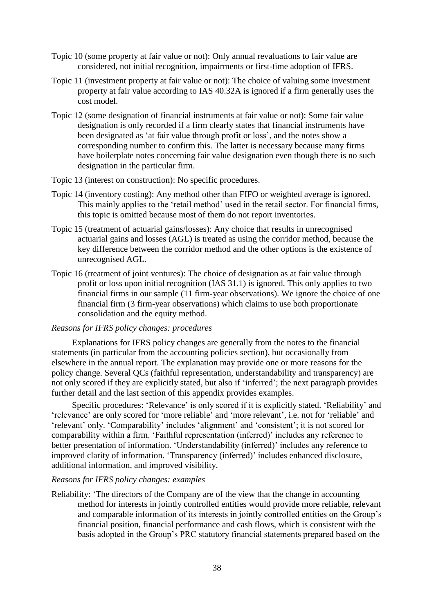- Topic 10 (some property at fair value or not): Only annual revaluations to fair value are considered, not initial recognition, impairments or first-time adoption of IFRS.
- Topic 11 (investment property at fair value or not): The choice of valuing some investment property at fair value according to IAS 40.32A is ignored if a firm generally uses the cost model.
- Topic 12 (some designation of financial instruments at fair value or not): Some fair value designation is only recorded if a firm clearly states that financial instruments have been designated as 'at fair value through profit or loss', and the notes show a corresponding number to confirm this. The latter is necessary because many firms have boilerplate notes concerning fair value designation even though there is no such designation in the particular firm.
- Topic 13 (interest on construction): No specific procedures.
- Topic 14 (inventory costing): Any method other than FIFO or weighted average is ignored. This mainly applies to the 'retail method' used in the retail sector. For financial firms, this topic is omitted because most of them do not report inventories.
- Topic 15 (treatment of actuarial gains/losses): Any choice that results in unrecognised actuarial gains and losses (AGL) is treated as using the corridor method, because the key difference between the corridor method and the other options is the existence of unrecognised AGL.
- Topic 16 (treatment of joint ventures): The choice of designation as at fair value through profit or loss upon initial recognition (IAS 31.1) is ignored. This only applies to two financial firms in our sample (11 firm-year observations). We ignore the choice of one financial firm (3 firm-year observations) which claims to use both proportionate consolidation and the equity method.

### *Reasons for IFRS policy changes: procedures*

Explanations for IFRS policy changes are generally from the notes to the financial statements (in particular from the accounting policies section), but occasionally from elsewhere in the annual report. The explanation may provide one or more reasons for the policy change. Several QCs (faithful representation, understandability and transparency) are not only scored if they are explicitly stated, but also if 'inferred'; the next paragraph provides further detail and the last section of this appendix provides examples.

Specific procedures: 'Relevance' is only scored if it is explicitly stated. 'Reliability' and 'relevance' are only scored for 'more reliable' and 'more relevant', i.e. not for 'reliable' and 'relevant' only. 'Comparability' includes 'alignment' and 'consistent'; it is not scored for comparability within a firm. 'Faithful representation (inferred)' includes any reference to better presentation of information. 'Understandability (inferred)' includes any reference to improved clarity of information. 'Transparency (inferred)' includes enhanced disclosure, additional information, and improved visibility.

#### *Reasons for IFRS policy changes: examples*

Reliability: 'The directors of the Company are of the view that the change in accounting method for interests in jointly controlled entities would provide more reliable, relevant and comparable information of its interests in jointly controlled entities on the Group's financial position, financial performance and cash flows, which is consistent with the basis adopted in the Group's PRC statutory financial statements prepared based on the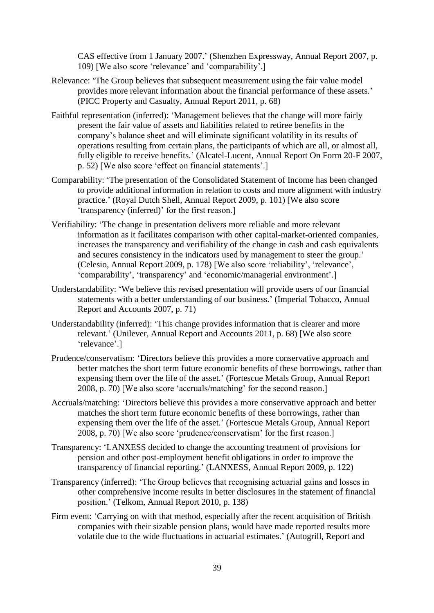CAS effective from 1 January 2007.' (Shenzhen Expressway, Annual Report 2007, p. 109) [We also score 'relevance' and 'comparability'.]

- Relevance: 'The Group believes that subsequent measurement using the fair value model provides more relevant information about the financial performance of these assets.' (PICC Property and Casualty, Annual Report 2011, p. 68)
- Faithful representation (inferred): 'Management believes that the change will more fairly present the fair value of assets and liabilities related to retiree benefits in the company's balance sheet and will eliminate significant volatility in its results of operations resulting from certain plans, the participants of which are all, or almost all, fully eligible to receive benefits.' (Alcatel-Lucent, Annual Report On Form 20-F 2007, p. 52) [We also score 'effect on financial statements'.]
- Comparability: 'The presentation of the Consolidated Statement of Income has been changed to provide additional information in relation to costs and more alignment with industry practice.' (Royal Dutch Shell, Annual Report 2009, p. 101) [We also score 'transparency (inferred)' for the first reason.]
- Verifiability: 'The change in presentation delivers more reliable and more relevant information as it facilitates comparison with other capital-market-oriented companies, increases the transparency and verifiability of the change in cash and cash equivalents and secures consistency in the indicators used by management to steer the group.' (Celesio, Annual Report 2009, p. 178) [We also score 'reliability', 'relevance', 'comparability', 'transparency' and 'economic/managerial environment'.]
- Understandability: 'We believe this revised presentation will provide users of our financial statements with a better understanding of our business.' (Imperial Tobacco, Annual Report and Accounts 2007, p. 71)
- Understandability (inferred): 'This change provides information that is clearer and more relevant.' (Unilever, Annual Report and Accounts 2011, p. 68) [We also score 'relevance'.]
- Prudence/conservatism: 'Directors believe this provides a more conservative approach and better matches the short term future economic benefits of these borrowings, rather than expensing them over the life of the asset.' (Fortescue Metals Group, Annual Report 2008, p. 70) [We also score 'accruals/matching' for the second reason.]
- Accruals/matching: 'Directors believe this provides a more conservative approach and better matches the short term future economic benefits of these borrowings, rather than expensing them over the life of the asset.' (Fortescue Metals Group, Annual Report 2008, p. 70) [We also score 'prudence/conservatism' for the first reason.]
- Transparency: 'LANXESS decided to change the accounting treatment of provisions for pension and other post-employment benefit obligations in order to improve the transparency of financial reporting.' (LANXESS, Annual Report 2009, p. 122)
- Transparency (inferred): 'The Group believes that recognising actuarial gains and losses in other comprehensive income results in better disclosures in the statement of financial position.' (Telkom, Annual Report 2010, p. 138)
- Firm event: 'Carrying on with that method, especially after the recent acquisition of British companies with their sizable pension plans, would have made reported results more volatile due to the wide fluctuations in actuarial estimates.' (Autogrill, Report and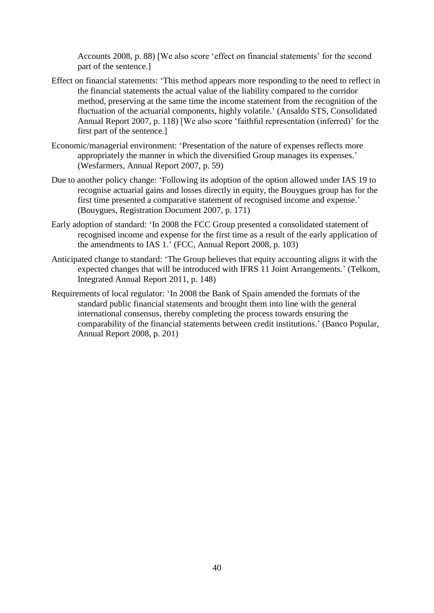Accounts 2008, p. 88) [We also score 'effect on financial statements' for the second part of the sentence.]

- Effect on financial statements: 'This method appears more responding to the need to reflect in the financial statements the actual value of the liability compared to the corridor method, preserving at the same time the income statement from the recognition of the fluctuation of the actuarial components, highly volatile.' (Ansaldo STS, Consolidated Annual Report 2007, p. 118) [We also score 'faithful representation (inferred)' for the first part of the sentence.]
- Economic/managerial environment: 'Presentation of the nature of expenses reflects more appropriately the manner in which the diversified Group manages its expenses.' (Wesfarmers, Annual Report 2007, p. 59)
- Due to another policy change: 'Following its adoption of the option allowed under IAS 19 to recognise actuarial gains and losses directly in equity, the Bouygues group has for the first time presented a comparative statement of recognised income and expense.' (Bouygues, Registration Document 2007, p. 171)
- Early adoption of standard: 'In 2008 the FCC Group presented a consolidated statement of recognised income and expense for the first time as a result of the early application of the amendments to IAS 1.' (FCC, Annual Report 2008, p. 103)
- Anticipated change to standard: 'The Group believes that equity accounting aligns it with the expected changes that will be introduced with IFRS 11 Joint Arrangements.' (Telkom, Integrated Annual Report 2011, p. 148)
- Requirements of local regulator: 'In 2008 the Bank of Spain amended the formats of the standard public financial statements and brought them into line with the general international consensus, thereby completing the process towards ensuring the comparability of the financial statements between credit institutions.' (Banco Popular, Annual Report 2008, p. 201)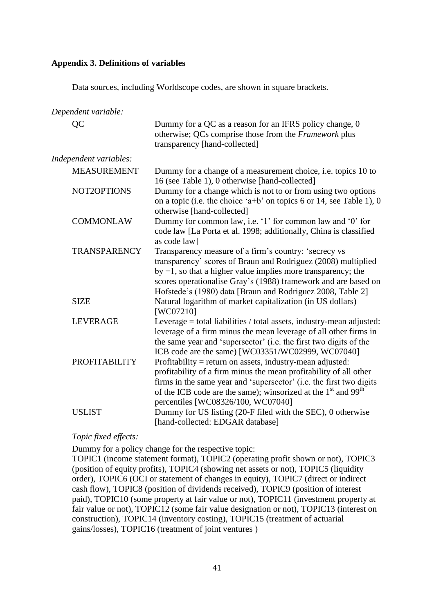## **Appendix 3. Definitions of variables**

Data sources, including Worldscope codes, are shown in square brackets.

*Dependent variable:* QC Dummy for a QC as a reason for an IFRS policy change, 0 otherwise; QCs comprise those from the *Framework* plus transparency [hand-collected] *Independent variables:* MEASUREMENT Dummy for a change of a measurement choice, i.e. topics 10 to 16 (see Table 1), 0 otherwise [hand-collected] NOT2OPTIONS Dummy for a change which is not to or from using two options on a topic (i.e. the choice 'a+b' on topics 6 or 14, see Table 1), 0 otherwise [hand-collected] COMMONLAW Dummy for common law, i.e. '1' for common law and '0' for code law [La Porta et al. 1998; additionally, China is classified as code law] TRANSPARENCY Transparency measure of a firm's country: 'secrecy vs transparency' scores of Braun and Rodriguez (2008) multiplied by −1, so that a higher value implies more transparency; the scores operationalise Gray's (1988) framework and are based on Hofstede's (1980) data [Braun and Rodriguez 2008, Table 2] SIZE Natural logarithm of market capitalization (in US dollars) [WC07210] LEVERAGE Leverage = total liabilities / total assets, industry-mean adjusted: leverage of a firm minus the mean leverage of all other firms in the same year and 'supersector' (i.e. the first two digits of the ICB code are the same) [WC03351/WC02999, WC07040] PROFITABILITY Profitability = return on assets, industry-mean adjusted: profitability of a firm minus the mean profitability of all other firms in the same year and 'supersector' (i.e. the first two digits of the ICB code are the same); winsorized at the  $1<sup>st</sup>$  and 99<sup>th</sup> percentiles [WC08326/100, WC07040] USLIST Dummy for US listing (20-F filed with the SEC), 0 otherwise [hand-collected: EDGAR database]

## *Topic fixed effects:*

Dummy for a policy change for the respective topic:

TOPIC1 (income statement format), TOPIC2 (operating profit shown or not), TOPIC3 (position of equity profits), TOPIC4 (showing net assets or not), TOPIC5 (liquidity order), TOPIC6 (OCI or statement of changes in equity), TOPIC7 (direct or indirect cash flow), TOPIC8 (position of dividends received), TOPIC9 (position of interest paid), TOPIC10 (some property at fair value or not), TOPIC11 (investment property at fair value or not), TOPIC12 (some fair value designation or not), TOPIC13 (interest on construction), TOPIC14 (inventory costing), TOPIC15 (treatment of actuarial gains/losses), TOPIC16 (treatment of joint ventures )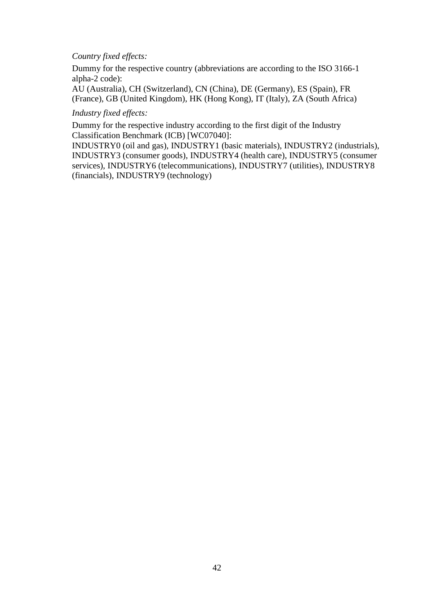## *Country fixed effects:*

Dummy for the respective country (abbreviations are according to the ISO 3166-1 alpha-2 code):

AU (Australia), CH (Switzerland), CN (China), DE (Germany), ES (Spain), FR (France), GB (United Kingdom), HK (Hong Kong), IT (Italy), ZA (South Africa)

## *Industry fixed effects:*

Dummy for the respective industry according to the first digit of the Industry Classification Benchmark (ICB) [WC07040]:

INDUSTRY0 (oil and gas), INDUSTRY1 (basic materials), INDUSTRY2 (industrials), INDUSTRY3 (consumer goods), INDUSTRY4 (health care), INDUSTRY5 (consumer services), INDUSTRY6 (telecommunications), INDUSTRY7 (utilities), INDUSTRY8 (financials), INDUSTRY9 (technology)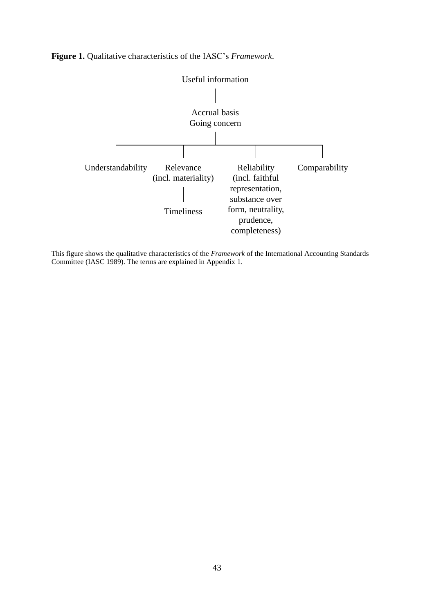

**Figure 1.** Qualitative characteristics of the IASC's *Framework*.

This figure shows the qualitative characteristics of the *Framework* of the International Accounting Standards Committee (IASC 1989). The terms are explained in Appendix 1.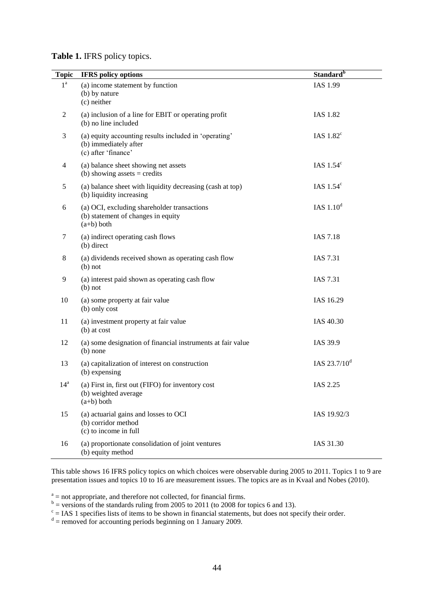## **Table 1.** IFRS policy topics.

| <b>Topic</b>     | <b>IFRS</b> policy options                                                                            | Standard <sup>b</sup> |
|------------------|-------------------------------------------------------------------------------------------------------|-----------------------|
| $1^{\mathrm{a}}$ | (a) income statement by function<br>(b) by nature<br>(c) neither                                      | IAS 1.99              |
| 2                | (a) inclusion of a line for EBIT or operating profit<br>(b) no line included                          | <b>IAS 1.82</b>       |
| 3                | (a) equity accounting results included in 'operating'<br>(b) immediately after<br>(c) after 'finance' | IAS $1.82^{\circ}$    |
| 4                | (a) balance sheet showing net assets<br>(b) showing assets $=$ credits                                | IAS $1.54^\circ$      |
| 5                | (a) balance sheet with liquidity decreasing (cash at top)<br>(b) liquidity increasing                 | IAS $1.54^\circ$      |
| 6                | (a) OCI, excluding shareholder transactions<br>(b) statement of changes in equity<br>$(a+b)$ both     | IAS $1.10d$           |
| 7                | (a) indirect operating cash flows<br>(b) direct                                                       | <b>IAS 7.18</b>       |
| 8                | (a) dividends received shown as operating cash flow<br>$(b)$ not                                      | IAS 7.31              |
| 9                | (a) interest paid shown as operating cash flow<br>$(b)$ not                                           | IAS 7.31              |
| 10               | (a) some property at fair value<br>(b) only cost                                                      | IAS 16.29             |
| 11               | (a) investment property at fair value<br>$(b)$ at cost                                                | IAS 40.30             |
| 12               | (a) some designation of financial instruments at fair value<br>$(b)$ none                             | IAS 39.9              |
| 13               | (a) capitalization of interest on construction<br>(b) expensing                                       | IAS $23.7/10^d$       |
| 14 <sup>a</sup>  | (a) First in, first out (FIFO) for inventory cost<br>(b) weighted average<br>$(a+b)$ both             | IAS 2.25              |
| 15               | (a) actuarial gains and losses to OCI<br>(b) corridor method<br>(c) to income in full                 | IAS 19.92/3           |
| 16               | (a) proportionate consolidation of joint ventures<br>(b) equity method                                | IAS 31.30             |

This table shows 16 IFRS policy topics on which choices were observable during 2005 to 2011. Topics 1 to 9 are presentation issues and topics 10 to 16 are measurement issues. The topics are as in Kvaal and Nobes (2010).

 $a<sup>a</sup>$  = not appropriate, and therefore not collected, for financial firms.

 $b =$  versions of the standards ruling from 2005 to 2011 (to 2008 for topics 6 and 13).<br>  $c =$  IAS 1 specifies lists of items to be shown in financial statements, but does not specify their order.<br>  $d =$  removed for accounti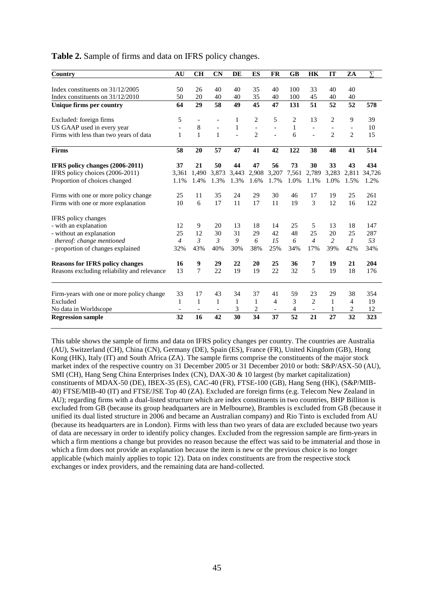| Table 2. Sample of firms and data on IFRS policy changes. |  |  |  |  |  |
|-----------------------------------------------------------|--|--|--|--|--|
|-----------------------------------------------------------|--|--|--|--|--|

| Country                                     | AU             | <b>CH</b>                | CN                       | DE           | ES             | <b>FR</b>      | GB           | HK             | <b>IT</b>                | ZA                       | ᡪ      |
|---------------------------------------------|----------------|--------------------------|--------------------------|--------------|----------------|----------------|--------------|----------------|--------------------------|--------------------------|--------|
|                                             |                |                          |                          |              |                |                |              |                |                          |                          |        |
| Index constituents on 31/12/2005            | 50             | 26                       | 40                       | 40           | 35             | 40             | 100          | 33             | 40                       | 40                       |        |
| Index constituents on 31/12/2010            | 50             | 20                       | 40                       | 40           | 35             | 40             | 100          | 45             | 40                       | 40                       |        |
| <b>Unique firms per country</b>             | 64             | 29                       | 58                       | 49           | 45             | 47             | 131          | 51             | 52                       | 52                       | 578    |
| Excluded: foreign firms                     | 5              | $\overline{\phantom{a}}$ |                          | 1            | $\overline{2}$ | 5              | 2            | 13             | 2                        | 9                        | 39     |
| US GAAP used in every year                  |                | 8                        | $\overline{a}$           | $\mathbf{1}$ | $\overline{a}$ | $\overline{a}$ | $\mathbf{1}$ | $\overline{a}$ | $\overline{\phantom{a}}$ | $\overline{\phantom{a}}$ | 10     |
| Firms with less than two years of data      | 1              | $\mathbf{1}$             | $\mathbf{1}$             |              | $\mathbf{2}$   |                | 6            |                | $\overline{2}$           | $\overline{2}$           | 15     |
| <b>Firms</b>                                | 58             | 20                       | 57                       | 47           | 41             | 42             | 122          | 38             | 48                       | 41                       | 514    |
| IFRS policy changes (2006-2011)             | 37             | 21                       | 50                       | 44           | 47             | 56             | 73           | 30             | 33                       | 43                       | 434    |
| IFRS policy choices (2006-2011)             | 3,361          | 1,490                    | 3,873                    | 3,443        | 2,908          | 3,207          | 7,561        | 2,789          | 3,283                    | 2,811                    | 34,726 |
| Proportion of choices changed               | 1.1%           | 1.4%                     | 1.3%                     | 1.3%         | 1.6%           | 1.7%           | 1.0%         | 1.1%           | 1.0%                     | 1.5%                     | 1.2%   |
| Firms with one or more policy change        | 25             | 11                       | 35                       | 24           | 29             | 30             | 46           | 17             | 19                       | 25                       | 261    |
| Firms with one or more explanation          | 10             | 6                        | 17                       | 11           | 17             | 11             | 19           | 3              | 12                       | 16                       | 122    |
| IFRS policy changes                         |                |                          |                          |              |                |                |              |                |                          |                          |        |
| - with an explanation                       | 12             | 9                        | 20                       | 13           | 18             | 14             | 25           | 5              | 13                       | 18                       | 147    |
| - without an explanation                    | 25             | 12                       | 30                       | 31           | 29             | 42             | 48           | 25             | 20                       | 25                       | 287    |
| thereof: change mentioned                   | $\overline{4}$ | $\mathfrak{Z}$           | $\mathfrak{Z}$           | 9            | 6              | 15             | 6            | $\overline{4}$ | $\overline{c}$           | $\mathcal{I}$            | 53     |
| - proportion of changes explained           | 32%            | 43%                      | 40%                      | 30%          | 38%            | 25%            | 34%          | 17%            | 39%                      | 42%                      | 34%    |
| <b>Reasons for IFRS policy changes</b>      | 16             | 9                        | 29                       | 22           | 20             | 25             | 36           | 7              | 19                       | 21                       | 204    |
| Reasons excluding reliability and relevance | 13             | 7                        | 22                       | 19           | 19             | 22             | 32           | 5              | 19                       | 18                       | 176    |
| Firm-years with one or more policy change   | 33             | 17                       | 43                       | 34           | 37             | 41             | 59           | 23             | 29                       | 38                       | 354    |
| Excluded                                    | 1              | $\mathbf{1}$             | 1                        | $\mathbf{1}$ | $\mathbf{1}$   | 4              | 3            | $\overline{c}$ | 1                        | $\overline{4}$           | 19     |
| No data in Worldscope                       |                |                          | $\overline{\phantom{a}}$ | 3            | $\overline{c}$ | $\overline{a}$ | 4            | $\blacksquare$ | 1                        | $\overline{c}$           | 12     |
| <b>Regression sample</b>                    | 32             | 16                       | 42                       | 30           | 34             | 37             | 52           | 21             | 27                       | 32                       | 323    |

This table shows the sample of firms and data on IFRS policy changes per country. The countries are Australia (AU), Switzerland (CH), China (CN), Germany (DE), Spain (ES), France (FR), United Kingdom (GB), Hong Kong (HK), Italy (IT) and South Africa (ZA). The sample firms comprise the constituents of the major stock market index of the respective country on 31 December 2005 or 31 December 2010 or both: S&P/ASX-50 (AU), SMI (CH), Hang Seng China Enterprises Index (CN), DAX-30 & 10 largest (by market capitalization) constituents of MDAX-50 (DE), IBEX-35 (ES), CAC-40 (FR), FTSE-100 (GB), Hang Seng (HK), (S&P/MIB-40) FTSE/MIB-40 (IT) and FTSE/JSE Top 40 (ZA). Excluded are foreign firms (e.g. Telecom New Zealand in AU); regarding firms with a dual-listed structure which are index constituents in two countries, BHP Billiton is excluded from GB (because its group headquarters are in Melbourne), Brambles is excluded from GB (because it unified its dual listed structure in 2006 and became an Australian company) and Rio Tinto is excluded from AU (because its headquarters are in London). Firms with less than two years of data are excluded because two years of data are necessary in order to identify policy changes. Excluded from the regression sample are firm-years in which a firm mentions a change but provides no reason because the effect was said to be immaterial and those in which a firm does not provide an explanation because the item is new or the previous choice is no longer applicable (which mainly applies to topic 12). Data on index constituents are from the respective stock exchanges or index providers, and the remaining data are hand-collected.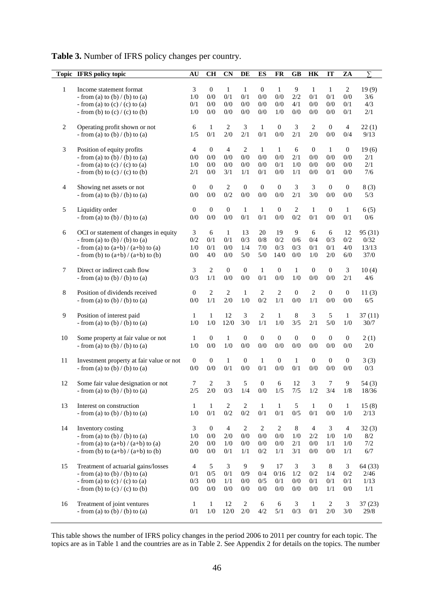|  | Table 3. Number of IFRS policy changes per country. |
|--|-----------------------------------------------------|
|--|-----------------------------------------------------|

|                | Topic IFRS policy topic                                                    | AU               | CH                      | <b>CN</b>        | DE                  | ES                  | <b>FR</b>           | <b>GB</b>           | HK               | IT               | ZA                    | $\overline{\Sigma}$ |
|----------------|----------------------------------------------------------------------------|------------------|-------------------------|------------------|---------------------|---------------------|---------------------|---------------------|------------------|------------------|-----------------------|---------------------|
|                |                                                                            |                  |                         |                  |                     |                     |                     |                     |                  |                  |                       |                     |
| 1              | Income statement format<br>- from (a) to (b) / (b) to (a)                  | 3<br>1/0         | $\mathbf{0}$<br>0/0     | 1<br>0/1         | 1<br>0/1            | $\mathbf{0}$<br>0/0 | 1<br>0/0            | 9<br>2/2            | 1<br>0/1         | 1<br>0/1         | $\overline{2}$<br>0/0 | 19(9)<br>3/6        |
|                | - from (a) to (c) / (c) to (a)                                             | 0/1              | 0/0                     | 0/0              | 0/0                 | 0/0                 | 0/0                 | 4/1                 | 0/0              | 0/0              | 0/1                   | 4/3                 |
|                | - from (b) to $(c)$ / (c) to (b)                                           | 1/0              | 0/0                     | 0/0              | 0/0                 | 0/0                 | 1/0                 | 0/0                 | 0/0              | 0/0              | 0/1                   | 2/1                 |
|                |                                                                            |                  |                         |                  |                     |                     |                     |                     |                  |                  |                       |                     |
| $\overline{c}$ | Operating profit shown or not                                              | 6                | $\mathbf{1}$            | $\boldsymbol{2}$ | 3                   | $\mathbf{1}$        | $\mathbf{0}$        | 3                   | $\boldsymbol{2}$ | $\mathbf{0}$     | $\overline{4}$        | 22(1)               |
|                | - from (a) to (b) / (b) to (a)                                             | 1/5              | 0/1                     | 2/0              | 2/1                 | 0/1                 | 0/0                 | 2/1                 | 2/0              | 0/0              | 0/4                   | 9/13                |
| 3              | Position of equity profits                                                 | $\overline{4}$   | $\boldsymbol{0}$        | $\overline{4}$   | $\mathbf{2}$        | $\mathbf{1}$        | $\mathbf{1}$        | 6                   | $\mathbf{0}$     | $\mathbf{1}$     | 0                     | 19(6)               |
|                | - from (a) to (b) / (b) to (a)                                             | 0/0              | 0/0                     | 0/0              | 0/0                 | 0/0                 | 0/0                 | 2/1                 | 0/0              | 0/0              | 0/0                   | 2/1                 |
|                | - from (a) to (c) / (c) to (a)                                             | 1/0              | 0/0                     | 0/0              | 0/0                 | 0/0                 | 0/1                 | 1/0                 | 0/0              | 0/0              | 0/0                   | 2/1                 |
|                | - from (b) to $(c) / (c)$ to (b)                                           | 2/1              | 0/0                     | 3/1              | 1/1                 | 0/1                 | 0/0                 | 1/1                 | 0/0              | 0/1              | 0/0                   | 7/6                 |
| 4              | Showing net assets or not                                                  | $\boldsymbol{0}$ | $\boldsymbol{0}$        | $\boldsymbol{2}$ | $\boldsymbol{0}$    | $\mathbf{0}$        | $\mathbf{0}$        | 3                   | 3                | $\mathbf{0}$     | $\mathbf{0}$          | 8(3)                |
|                | - from (a) to (b) / (b) to (a)                                             | 0/0              | 0/0                     | 0/2              | 0/0                 | 0/0                 | 0/0                 | 2/1                 | 3/0              | 0/0              | $0/0$                 | 5/3                 |
| 5              | Liquidity order                                                            | $\boldsymbol{0}$ | $\boldsymbol{0}$        | $\boldsymbol{0}$ | $\mathbf{1}$        | $\mathbf{1}$        | $\boldsymbol{0}$    | $\overline{c}$      | $\mathbf{1}$     | $\boldsymbol{0}$ | $\mathbf{1}$          | 6(5)                |
|                | - from (a) to (b) / (b) to (a)                                             | 0/0              | 0/0                     | 0/0              | 0/1                 | 0/1                 | 0/0                 | 0/2                 | 0/1              | 0/0              | 0/1                   | 0/6                 |
|                |                                                                            |                  |                         |                  |                     |                     |                     |                     |                  |                  |                       |                     |
| 6              | OCI or statement of changes in equity                                      | 3                | 6                       | $\mathbf{1}$     | 13                  | 20                  | 19                  | 9                   | 6                | 6                | $12\,$                | 95 (31)             |
|                | - from (a) to (b) / (b) to (a)<br>- from (a) to $(a+b) / (a+b)$ to (a)     | 0/2<br>1/0       | 0/1<br>0/1              | 0/1<br>0/0       | 0/3<br>1/4          | 0/8<br>7/0          | $0/2$<br>0/3        | 0/6<br>0/3          | 0/4<br>0/1       | 0/3<br>$0/1$     | 0/2<br>4/0            | 0/32<br>13/13       |
|                | - from (b) to $(a+b)/(a+b)$ to (b)                                         | 0/0              | 4/0                     | 0/0              | 5/0                 | 5/0                 | 14/0                | 0/0                 | 1/0              | 2/0              | 6/0                   | 37/0                |
|                |                                                                            |                  |                         |                  |                     |                     |                     |                     |                  |                  |                       |                     |
| 7              | Direct or indirect cash flow                                               | 3                | $\mathbf{2}$            | $\boldsymbol{0}$ | $\boldsymbol{0}$    | $\mathbf{1}$        | $\boldsymbol{0}$    | $\mathbf{1}$        | $\mathbf{0}$     | $\boldsymbol{0}$ | 3                     | 10(4)               |
|                | - from (a) to (b) / (b) to (a)                                             | 0/3              | 1/1                     | 0/0              | 0/0                 | 0/1                 | 0/0                 | 1/0                 | 0/0              | 0/0              | 2/1                   | 4/6                 |
| 8              | Position of dividends received                                             | $\boldsymbol{0}$ | $\mathbf{2}$            | 2                | $\mathbf{1}$        | 2                   | $\mathbf{2}$        | $\overline{0}$      | $\mathbf{2}$     | $\boldsymbol{0}$ | $\mathbf{0}$          | 11(3)               |
|                | - from (a) to (b) / (b) to (a)                                             | 0/0              | 1/1                     | 2/0              | 1/0                 | 0/2                 | 1/1                 | 0/0                 | 1/1              | 0/0              | 0/0                   | 6/5                 |
|                |                                                                            |                  |                         |                  |                     |                     |                     |                     |                  |                  |                       |                     |
| 9              | Position of interest paid                                                  | 1                | $\mathbf{1}$            | 12               | $\mathfrak{Z}$      | $\sqrt{2}$          | $\mathbf{1}$        | $\,8\,$             | $\mathfrak{Z}$   | 5                | 1                     | 37(11)              |
|                | - from (a) to (b) / (b) to (a)                                             | 1/0              | 1/0                     | 12/0             | 3/0                 | 1/1                 | 1/0                 | 3/5                 | 2/1              | 5/0              | 1/0                   | 30/7                |
| 10             | Some property at fair value or not                                         | 1                | $\boldsymbol{0}$        | $\mathbf{1}$     | $\mathbf{0}$        | $\mathbf{0}$        | $\mathbf{0}$        | $\mathbf{0}$        | $\mathbf{0}$     | $\mathbf{0}$     | $\boldsymbol{0}$      | 2(1)                |
|                | - from (a) to (b) / (b) to (a)                                             | 1/0              | 0/0                     | 1/0              | 0/0                 | 0/0                 | 0/0                 | 0/0                 | 0/0              | 0/0              | 0/0                   | 2/0                 |
|                |                                                                            |                  |                         |                  |                     |                     |                     |                     |                  |                  |                       |                     |
| 11             | Investment property at fair value or not<br>- from (a) to (b) / (b) to (a) | $\boldsymbol{0}$ | $\boldsymbol{0}$<br>0/0 | $\mathbf{1}$     | $\mathbf{0}$<br>0/0 | $\mathbf{1}$<br>0/1 | $\mathbf{0}$<br>0/0 | $\mathbf{1}$<br>0/1 | $\mathbf{0}$     | $\mathbf{0}$     | $\mathbf{0}$          | 3(3)                |
|                |                                                                            | 0/0              |                         | 0/1              |                     |                     |                     |                     | 0/0              | 0/0              | 0/0                   | 0/3                 |
| 12             | Some fair value designation or not                                         | 7                | $\overline{c}$          | 3                | 5                   | $\boldsymbol{0}$    | 6                   | 12                  | 3                | $\tau$           | 9                     | 54(3)               |
|                | - from (a) to (b) / (b) to (a)                                             | 2/5              | 2/0                     | 0/3              | 1/4                 | $0/0$               | $1/5$               | 7/5                 | 1/2              | 3/4              | 1/8                   | 18/36               |
| 13             | Interest on construction                                                   | $\mathbf{1}$     | $\mathbf 1$             | $\boldsymbol{2}$ | $\overline{2}$      | $\mathbf{1}$        | $\mathbf{1}$        | 5                   | $\mathbf{1}$     | $\mathbf{0}$     | $\mathbf{1}$          | 15(8)               |
|                | - from (a) to (b) / (b) to (a)                                             | 1/0              | $0/1$                   | 0/2              | $0/2$               | 0/1                 | 0/1                 | 0/5                 | $0/1$            | 0/0              | 1/0                   | 2/13                |
|                |                                                                            |                  |                         |                  |                     |                     |                     |                     |                  |                  |                       |                     |
| 14             | Inventory costing                                                          | $\mathfrak{Z}$   | $\boldsymbol{0}$        | $\overline{4}$   | $\sqrt{2}$          | $\sqrt{2}$          | $\overline{2}$      | 8                   | $\overline{4}$   | $\mathfrak{Z}$   | $\overline{4}$        | 32(3)               |
|                | - from (a) to (b) / (b) to (a)                                             | 1/0              | $0/0$                   | 2/0              | $0/0$               | 0/0                 | 0/0                 | 1/0                 | $2/2\,$          | 1/0              | 1/0                   | $8/2\,$             |
|                | - from (a) to $(a+b) / (a+b)$ to (a)                                       | 2/0              | 0/0                     | 1/0              | 0/0                 | 0/0                 | $0/0$               | $2/1$               | 0/0              | 1/1              | 1/0                   | 7/2                 |
|                | - from (b) to $(a+b)/(a+b)$ to (b)                                         | 0/0              | 0/0                     | 0/1              | 1/1                 | 0/2                 | 1/1                 | 3/1                 | 0/0              | $0/0$            | 1/1                   | 6/7                 |
| 15             | Treatment of actuarial gains/losses                                        | $\overline{4}$   | 5                       | 3                | $\overline{9}$      | $\boldsymbol{9}$    | 17                  | 3                   | 3                | $\,8\,$          | 3                     | 64 (33)             |
|                | - from (a) to (b) / (b) to (a)                                             | 0/1              | 0/5                     | 0/1              | 0/9                 | 0/4                 | 0/16                | 1/2                 | $0/2$            | 1/4              | 0/2                   | 2/46                |
|                | - from (a) to (c) / (c) to (a)                                             | 0/3              | 0/0                     | 1/1              | 0/0                 | 0/5                 | $0/1$               | $0/0$               | $0/1$            | $0/1$            | $0/1$                 | 1/13                |
|                | - from (b) to $(c) / (c)$ to (b)                                           | 0/0              | 0/0                     | $0/0$            | 0/0                 | 0/0                 | 0/0                 | 0/0                 | $0/0$            | 1/1              | $0/0$                 | 1/1                 |
| 16             | Treatment of joint ventures                                                | $\mathbf{1}$     | $\mathbf 1$             | 12               | $\sqrt{2}$          | 6                   | 6                   | $\sqrt{3}$          | $\mathbf{1}$     | $\sqrt{2}$       | $\mathfrak{Z}$        | 37(23)              |
|                | - from (a) to (b) / (b) to (a)                                             | 0/1              | $1/0$                   | $12/0$           | 2/0                 | 4/2                 | 5/1                 | 0/3                 | 0/1              | $2/0$            | $3/0$                 | 29/8                |
|                |                                                                            |                  |                         |                  |                     |                     |                     |                     |                  |                  |                       |                     |

This table shows the number of IFRS policy changes in the period 2006 to 2011 per country for each topic. The topics are as in Table 1 and the countries are as in Table 2. See Appendix 2 for details on the topics. The number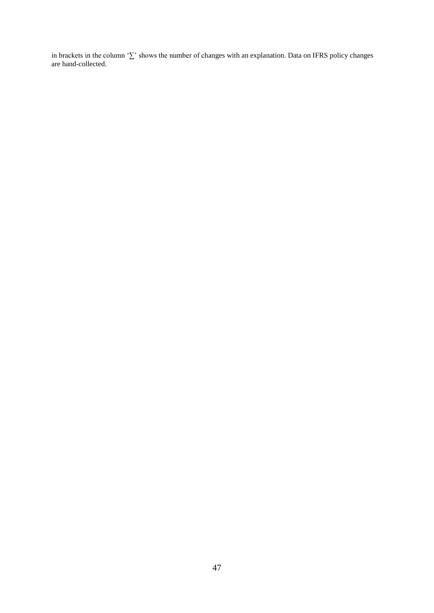in brackets in the column '∑' shows the number of changes with an explanation. Data on IFRS policy changes are hand-collected.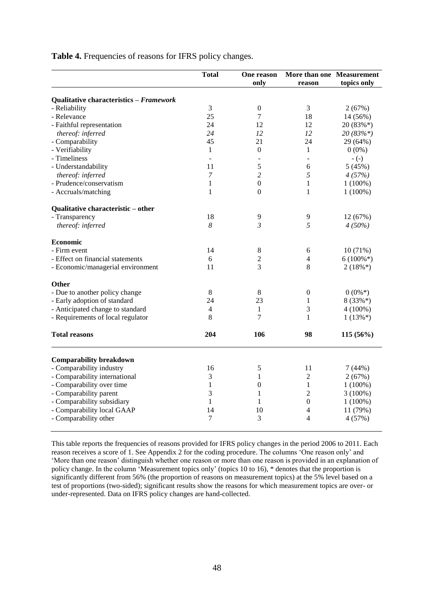|                                         | <b>Total</b>   | One reason<br>only | More than one Measurement<br>reason | topics only |
|-----------------------------------------|----------------|--------------------|-------------------------------------|-------------|
| Qualitative characteristics - Framework |                |                    |                                     |             |
| - Reliability                           | 3              | $\boldsymbol{0}$   | 3                                   | 2(67%)      |
| - Relevance                             | 25             | $\overline{7}$     | 18                                  | 14 (56%)    |
| - Faithful representation               | 24             | 12                 | 12                                  | $20(83\%*)$ |
| thereof: inferred                       | 24             | 12                 | 12                                  | $20(83\%*)$ |
| - Comparability                         | 45             | 21                 | 24                                  | 29 (64%)    |
| - Verifiability                         | 1              | $\boldsymbol{0}$   | $\mathbf{1}$                        | $0(0\%)$    |
| - Timeliness                            | $\overline{a}$ | $\overline{a}$     | $\overline{a}$                      | $-(-)$      |
| - Understandability                     | 11             | 5                  | 6                                   | 5(45%)      |
| thereof: inferred                       | 7              | $\overline{c}$     | 5                                   | 4(57%)      |
| - Prudence/conservatism                 | 1              | $\mathbf{0}$       | 1                                   | $1(100\%)$  |
| - Accruals/matching                     | 1              | $\Omega$           | 1                                   | $1(100\%)$  |
| Qualitative characteristic - other      |                |                    |                                     |             |
| - Transparency                          | 18             | 9                  | 9                                   | 12 (67%)    |
| thereof: inferred                       | 8              | $\mathfrak{Z}$     | 5                                   | 4(50%)      |
| <b>Economic</b>                         |                |                    |                                     |             |
| - Firm event                            | 14             | 8                  | 6                                   | 10(71%)     |
| - Effect on financial statements        | 6              | $\overline{c}$     | 4                                   | $6(100\%*)$ |
| - Economic/managerial environment       | 11             | 3                  | 8                                   | $2(18\%*)$  |
| <b>Other</b>                            |                |                    |                                     |             |
| - Due to another policy change          | 8              | 8                  | $\boldsymbol{0}$                    | $0(0\%*)$   |
| - Early adoption of standard            | 24             | 23                 | 1                                   | $8(33\%*)$  |
| - Anticipated change to standard        | 4              | 1                  | 3                                   | $4(100\%)$  |
| - Requirements of local regulator       | 8              | 7                  | 1                                   | $1(13\%*)$  |
| <b>Total reasons</b>                    | 204            | 106                | 98                                  | $115(56\%)$ |
| <b>Comparability breakdown</b>          |                |                    |                                     |             |
| - Comparability industry                | 16             | 5                  | 11                                  | 7(44%)      |
| - Comparability international           | 3              | 1                  | $\overline{c}$                      | 2(67%)      |
| - Comparability over time               | 1              | $\theta$           | 1                                   | $1(100\%)$  |
| - Comparability parent                  | 3              | $\mathbf{1}$       | $\overline{2}$                      | $3(100\%)$  |
| - Comparability subsidiary              | $\mathbf{1}$   | 1                  | $\boldsymbol{0}$                    | $1(100\%)$  |
| - Comparability local GAAP              | 14             | 10                 | 4                                   | 11 (79%)    |
| - Comparability other                   | $\tau$         | 3                  | 4                                   | 4(57%)      |
|                                         |                |                    |                                     |             |

**Table 4.** Frequencies of reasons for IFRS policy changes.

This table reports the frequencies of reasons provided for IFRS policy changes in the period 2006 to 2011. Each reason receives a score of 1. See Appendix 2 for the coding procedure. The columns 'One reason only' and 'More than one reason' distinguish whether one reason or more than one reason is provided in an explanation of policy change. In the column 'Measurement topics only' (topics 10 to 16), \* denotes that the proportion is significantly different from 56% (the proportion of reasons on measurement topics) at the 5% level based on a test of proportions (two-sided); significant results show the reasons for which measurement topics are over- or under-represented. Data on IFRS policy changes are hand-collected.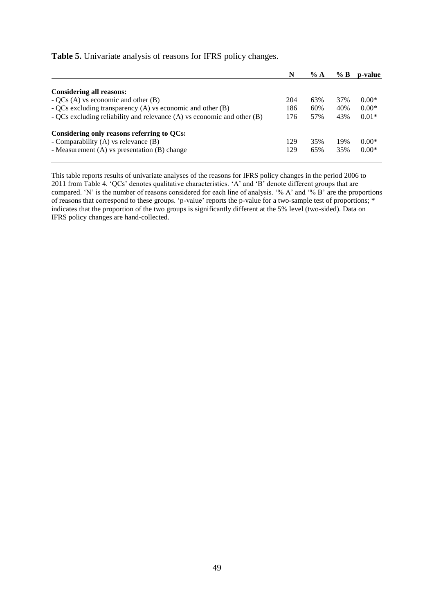## **Table 5.** Univariate analysis of reasons for IFRS policy changes.

|                                                                         | N   | % A | % B | p-value |
|-------------------------------------------------------------------------|-----|-----|-----|---------|
|                                                                         |     |     |     |         |
| <b>Considering all reasons:</b>                                         |     |     |     |         |
| $-QCs(A)$ vs economic and other (B)                                     | 204 | 63% | 37% | $0.00*$ |
| - QCs excluding transparency $(A)$ vs economic and other $(B)$          | 186 | 60% | 40% | $0.00*$ |
| - QCs excluding reliability and relevance (A) vs economic and other (B) | 176 | 57% | 43% | $0.01*$ |
| Considering only reasons referring to QCs:                              |     |     |     |         |
| - Comparability $(A)$ vs relevance $(B)$                                | 129 | 35% | 19% | $0.00*$ |
| - Measurement (A) vs presentation (B) change                            | 129 | 65% | 35% | $0.00*$ |

This table reports results of univariate analyses of the reasons for IFRS policy changes in the period 2006 to 2011 from Table 4. 'QCs' denotes qualitative characteristics. 'A' and 'B' denote different groups that are compared. 'N' is the number of reasons considered for each line of analysis. '% A' and '% B' are the proportions of reasons that correspond to these groups. 'p-value' reports the p-value for a two-sample test of proportions; \* indicates that the proportion of the two groups is significantly different at the 5% level (two-sided). Data on IFRS policy changes are hand-collected.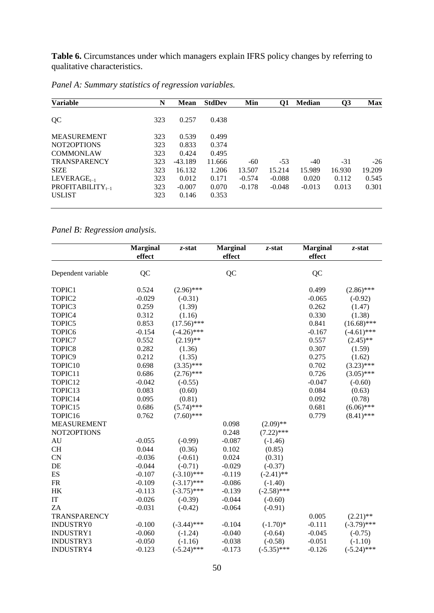**Table 6.** Circumstances under which managers explain IFRS policy changes by referring to qualitative characteristics.

| <b>Variable</b>                                  | N   | <b>Mean</b> | <b>StdDev</b> | Min      | Q1       | <b>Median</b> | Q <sub>3</sub> | <b>Max</b> |
|--------------------------------------------------|-----|-------------|---------------|----------|----------|---------------|----------------|------------|
| QC                                               | 323 | 0.257       | 0.438         |          |          |               |                |            |
| <b>MEASUREMENT</b>                               | 323 | 0.539       | 0.499         |          |          |               |                |            |
| NOT2OPTIONS                                      | 323 | 0.833       | 0.374         |          |          |               |                |            |
| <b>COMMONLAW</b>                                 | 323 | 0.424       | 0.495         |          |          |               |                |            |
| <b>TRANSPARENCY</b>                              | 323 | $-43.189$   | 11.666        | $-60$    | $-53$    | $-40$         | $-31$          | $-26$      |
| <b>SIZE</b>                                      | 323 | 16.132      | 1.206         | 13.507   | 15.214   | 15.989        | 16.930         | 19.209     |
| $LEVERAGE_{t-1}$                                 | 323 | 0.012       | 0.171         | $-0.574$ | $-0.088$ | 0.020         | 0.112          | 0.545      |
| <b>PROFITABILITY</b> <sub><math>t-1</math></sub> | 323 | $-0.007$    | 0.070         | $-0.178$ | $-0.048$ | $-0.013$      | 0.013          | 0.301      |
| <b>USLIST</b>                                    | 323 | 0.146       | 0.353         |          |          |               |                |            |

*Panel A: Summary statistics of regression variables.*

*Panel B: Regression analysis.*

|                    | <b>Marginal</b><br>effect | $z$ -stat     | <b>Marginal</b><br>effect | $z$ -stat     | <b>Marginal</b><br>effect | z-stat        |
|--------------------|---------------------------|---------------|---------------------------|---------------|---------------------------|---------------|
|                    |                           |               |                           |               |                           |               |
| Dependent variable | QC                        |               | QC                        |               | QC                        |               |
| TOPIC1             | 0.524                     | $(2.96)$ ***  |                           |               | 0.499                     | $(2.86)$ ***  |
| TOPIC2             | $-0.029$                  | $(-0.31)$     |                           |               | $-0.065$                  | $(-0.92)$     |
| TOPIC3             | 0.259                     | (1.39)        |                           |               | 0.262                     | (1.47)        |
| TOPIC4             | 0.312                     | (1.16)        |                           |               | 0.330                     | (1.38)        |
| TOPIC5             | 0.853                     | $(17.56)$ *** |                           |               | 0.841                     | $(16.68)$ *** |
| TOPIC6             | $-0.154$                  | $(-4.26)$ *** |                           |               | $-0.167$                  | $(-4.61)$ *** |
| TOPIC7             | 0.552                     | $(2.19)$ **   |                           |               | 0.557                     | $(2.45)$ **   |
| TOPIC8             | 0.282                     | (1.36)        |                           |               | 0.307                     | (1.59)        |
| TOPIC9             | 0.212                     | (1.35)        |                           |               | 0.275                     | (1.62)        |
| TOPIC10            | 0.698                     | $(3.35)$ ***  |                           |               | 0.702                     | $(3.23)$ ***  |
| TOPIC11            | 0.686                     | $(2.76)$ ***  |                           |               | 0.726                     | $(3.05)$ ***  |
| TOPIC12            | $-0.042$                  | $(-0.55)$     |                           |               | $-0.047$                  | $(-0.60)$     |
| TOPIC13            | 0.083                     | (0.60)        |                           |               | 0.084                     | (0.63)        |
| TOPIC14            | 0.095                     | (0.81)        |                           |               | 0.092                     | (0.78)        |
| TOPIC15            | 0.686                     | $(5.74)$ ***  |                           |               | 0.681                     | $(6.06)$ ***  |
| TOPIC16            | 0.762                     | $(7.60)$ ***  |                           |               | 0.779                     | $(8.41)$ ***  |
| <b>MEASUREMENT</b> |                           |               | 0.098                     | $(2.09)$ **   |                           |               |
| NOT2OPTIONS        |                           |               | 0.248                     | $(7.22)$ ***  |                           |               |
| AU                 | $-0.055$                  | $(-0.99)$     | $-0.087$                  | $(-1.46)$     |                           |               |
| <b>CH</b>          | 0.044                     | (0.36)        | 0.102                     | (0.85)        |                           |               |
| <b>CN</b>          | $-0.036$                  | $(-0.61)$     | 0.024                     | (0.31)        |                           |               |
| DE                 | $-0.044$                  | $(-0.71)$     | $-0.029$                  | $(-0.37)$     |                           |               |
| ES                 | $-0.107$                  | $(-3.10)$ *** | $-0.119$                  | $(-2.41)$ **  |                           |               |
| <b>FR</b>          | $-0.109$                  | $(-3.17)$ *** | $-0.086$                  | $(-1.40)$     |                           |               |
| HK                 | $-0.113$                  | $(-3.75)$ *** | $-0.139$                  | $(-2.58)$ *** |                           |               |
| IT                 | $-0.026$                  | $(-0.39)$     | $-0.044$                  | $(-0.60)$     |                           |               |
| ZA                 | $-0.031$                  | $(-0.42)$     | $-0.064$                  | $(-0.91)$     |                           |               |
| TRANSPARENCY       |                           |               |                           |               | 0.005                     | $(2.21)$ **   |
| INDUSTRY0          | $-0.100$                  | $(-3.44)$ *** | $-0.104$                  | $(-1.70)*$    | $-0.111$                  | $(-3.79)$ *** |
| INDUSTRY1          | $-0.060$                  | $(-1.24)$     | $-0.040$                  | $(-0.64)$     | $-0.045$                  | $(-0.75)$     |
| INDUSTRY3          | $-0.050$                  | $(-1.16)$     | $-0.038$                  | $(-0.58)$     | $-0.051$                  | $(-1.10)$     |
| INDUSTRY4          | $-0.123$                  | $(-5.24)$ *** | $-0.173$                  | $(-5.35)$ *** | $-0.126$                  | $(-5.24)$ *** |